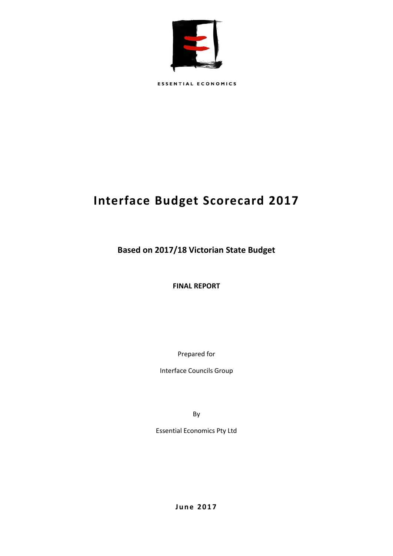

**ESSENTIAL ECONOMICS** 

# **Interface Budget Scorecard 2017**

**Based on 2017/18 Victorian State Budget**

**FINAL REPORT**

Prepared for

Interface Councils Group

By

Essential Economics Pty Ltd

**J u n e 2 0 1 7**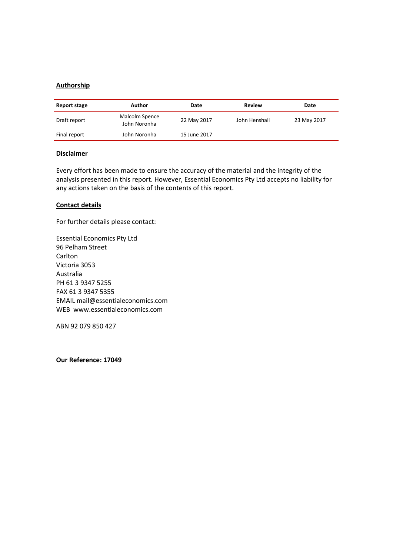## **Authorship**

| Report stage | Author                         | Date         | Review        | Date        |
|--------------|--------------------------------|--------------|---------------|-------------|
| Draft report | Malcolm Spence<br>John Noronha | 22 May 2017  | John Henshall | 23 May 2017 |
| Final report | John Noronha                   | 15 June 2017 |               |             |

### **Disclaimer**

Every effort has been made to ensure the accuracy of the material and the integrity of the analysis presented in this report. However, Essential Economics Pty Ltd accepts no liability for any actions taken on the basis of the contents of this report.

### **Contact details**

For further details please contact:

Essential Economics Pty Ltd 96 Pelham Street Carlton Victoria 3053 Australia PH 61 3 9347 5255 FAX 61 3 9347 5355 EMAIL mail@essentialeconomics.com WEB www.essentialeconomics.com

ABN 92 079 850 427

**Our Reference: 17049**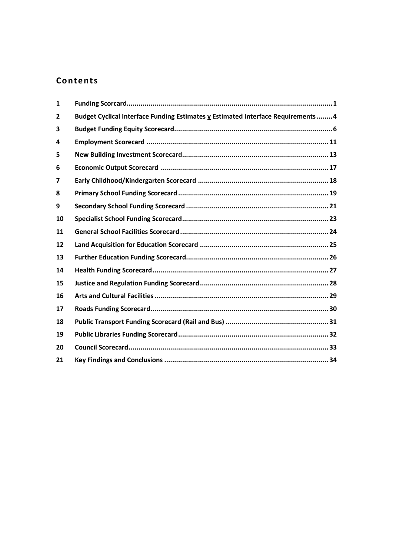# **Contents**

| $\mathbf{1}$            |                                                                                  |  |
|-------------------------|----------------------------------------------------------------------------------|--|
| $\overline{2}$          | Budget Cyclical Interface Funding Estimates v Estimated Interface Requirements 4 |  |
| 3                       |                                                                                  |  |
| 4                       |                                                                                  |  |
| 5                       |                                                                                  |  |
| 6                       |                                                                                  |  |
| $\overline{\mathbf{z}}$ |                                                                                  |  |
| 8                       |                                                                                  |  |
| 9                       |                                                                                  |  |
| 10                      |                                                                                  |  |
| 11                      |                                                                                  |  |
| 12                      |                                                                                  |  |
| 13                      |                                                                                  |  |
| 14                      |                                                                                  |  |
| 15                      |                                                                                  |  |
| 16                      |                                                                                  |  |
| 17                      |                                                                                  |  |
| 18                      |                                                                                  |  |
| 19                      |                                                                                  |  |
| 20                      |                                                                                  |  |
| 21                      |                                                                                  |  |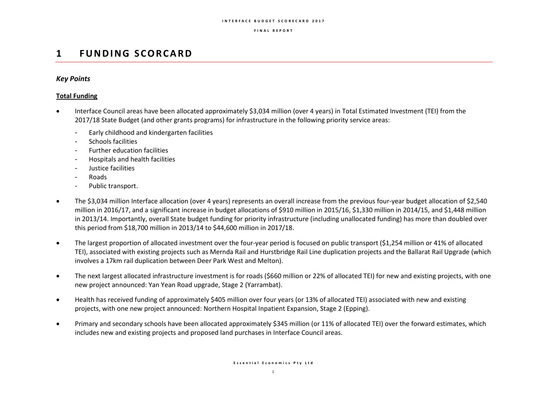#### **I N T E R F A C E B U D G E T S C O R E C A R D 2 0 1 7**

### **F I N A L R E P O R T**

# **1 F U N D I N G S C O R C A R D**

## *Key Points*

## **Total Funding**

- Interface Council areas have been allocated approximately \$3,034 million (over 4 years) in Total Estimated Investment (TEI) from the 2017/18 State Budget (and other grants programs) for infrastructure in the following priority service areas:
	- Early childhood and kindergarten facilities
	- Schools facilities
	- Further education facilities
	- Hospitals and health facilities
	- Justice facilities
	- Roads
	- Public transport.
- The \$3,034 million Interface allocation (over 4 years) represents an overall increase from the previous four-year budget allocation of \$2,540 million in 2016/17, and a significant increase in budget allocations of \$910 million in 2015/16, \$1,330 million in 2014/15, and \$1,448 million in 2013/14. Importantly, overall State budget funding for priority infrastructure (including unallocated funding) has more than doubled over this period from \$18,700 million in 2013/14 to \$44,600 million in 2017/18.
- The largest proportion of allocated investment over the four-year period is focused on public transport (\$1,254 million or 41% of allocated TEI), associated with existing projects such as Mernda Rail and Hurstbridge Rail Line duplication projects and the Ballarat Rail Upgrade (which involves a 17km rail duplication between Deer Park West and Melton).
- The next largest allocated infrastructure investment is for roads (\$660 million or 22% of allocated TEI) for new and existing projects, with one new project announced: Yan Yean Road upgrade, Stage 2 (Yarrambat).
- Health has received funding of approximately \$405 million over four years (or 13% of allocated TEI) associated with new and existing projects, with one new project announced: Northern Hospital Inpatient Expansion, Stage 2 (Epping).
- Primary and secondary schools have been allocated approximately \$345 million (or 11% of allocated TEI) over the forward estimates, which includes new and existing projects and proposed land purchases in Interface Council areas.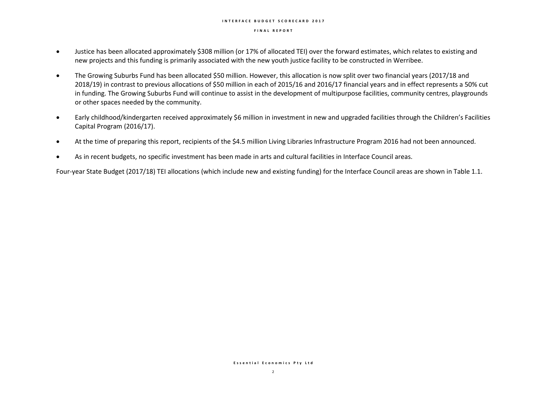#### **I N T E R F A C E B U D G E T S C O R E C A R D 2 0 1 7**

#### **F I N A L R E P O R T**

- Justice has been allocated approximately \$308 million (or 17% of allocated TEI) over the forward estimates, which relates to existing and new projects and this funding is primarily associated with the new youth justice facility to be constructed in Werribee.
- The Growing Suburbs Fund has been allocated \$50 million. However, this allocation is now split over two financial years (2017/18 and 2018/19) in contrast to previous allocations of \$50 million in each of 2015/16 and 2016/17 financial years and in effect represents a 50% cut in funding. The Growing Suburbs Fund will continue to assist in the development of multipurpose facilities, community centres, playgrounds or other spaces needed by the community.
- Early childhood/kindergarten received approximately \$6 million in investment in new and upgraded facilities through the Children's Facilities Capital Program (2016/17).
- At the time of preparing this report, recipients of the \$4.5 million Living Libraries Infrastructure Program 2016 had not been announced.
- As in recent budgets, no specific investment has been made in arts and cultural facilities in Interface Council areas.

Four-year State Budget (2017/18) TEI allocations (which include new and existing funding) for the Interface Council areas are shown in Table 1.1.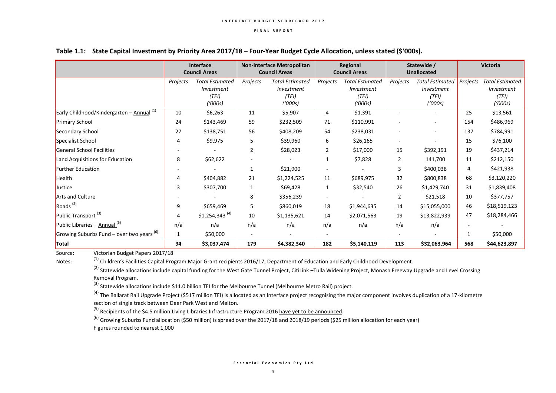|                                                | <b>Interface</b><br><b>Council Areas</b> |                                                          | <b>Non-Interface Metropolitan</b><br><b>Council Areas</b> |                                                          | Regional<br><b>Council Areas</b> |                                                                 | Statewide /<br><b>Unallocated</b> |                                                          | <b>Victoria</b> |                                                          |
|------------------------------------------------|------------------------------------------|----------------------------------------------------------|-----------------------------------------------------------|----------------------------------------------------------|----------------------------------|-----------------------------------------------------------------|-----------------------------------|----------------------------------------------------------|-----------------|----------------------------------------------------------|
|                                                | Projects                                 | <b>Total Estimated</b><br>Investment<br>(TEI)<br>('000s) | Projects                                                  | <b>Total Estimated</b><br>Investment<br>(TEI)<br>('000s) | Projects                         | <b>Total Estimated</b><br><i>Investment</i><br>(TEI)<br>('000s) | Projects                          | <b>Total Estimated</b><br>Investment<br>(TEI)<br>('000s) | Projects        | <b>Total Estimated</b><br>Investment<br>(TEI)<br>('000s) |
| Early Childhood/Kindergarten - Annual $^{(1)}$ | 10                                       | \$6,263                                                  | 11                                                        | \$5,907                                                  | 4                                | \$1,391                                                         |                                   |                                                          | 25              | \$13,561                                                 |
| <b>Primary School</b>                          | 24                                       | \$143,469                                                | 59                                                        | \$232,509                                                | 71                               | \$110,991                                                       |                                   | ٠                                                        | 154             | \$486,969                                                |
| Secondary School                               | 27                                       | \$138,751                                                | 56                                                        | \$408,209                                                | 54                               | \$238,031                                                       |                                   | ٠                                                        | 137             | \$784,991                                                |
| Specialist School                              | $\overline{4}$                           | \$9,975                                                  | 5                                                         | \$39,960                                                 | 6                                | \$26,165                                                        |                                   |                                                          | 15              | \$76,100                                                 |
| <b>General School Facilities</b>               |                                          |                                                          | $\overline{2}$                                            | \$28,023                                                 | $\overline{2}$                   | \$17,000                                                        | 15                                | \$392,191                                                | 19              | \$437,214                                                |
| Land Acquisitions for Education                | 8                                        | \$62,622                                                 |                                                           |                                                          | 1                                | \$7,828                                                         | 2                                 | 141,700                                                  | 11              | \$212,150                                                |
| <b>Further Education</b>                       |                                          |                                                          | $\mathbf{1}$                                              | \$21,900                                                 |                                  |                                                                 | 3                                 | \$400,038                                                | 4               | \$421,938                                                |
| Health                                         | 4                                        | \$404,882                                                | 21                                                        | \$1,224,525                                              | 11                               | \$689,975                                                       | 32                                | \$800,838                                                | 68              | \$3,120,220                                              |
| Justice                                        | 3                                        | \$307,700                                                | 1                                                         | \$69,428                                                 | $\mathbf{1}$                     | \$32,540                                                        | 26                                | \$1,429,740                                              | 31              | \$1,839,408                                              |
| Arts and Culture                               |                                          |                                                          | 8                                                         | \$356,239                                                | $\sim$                           |                                                                 | $\overline{2}$                    | \$21,518                                                 | 10              | \$377,757                                                |
| Roads $(2)$                                    | 9                                        | \$659,469                                                | 5                                                         | \$860,019                                                | 18                               | \$1,944,635                                                     | 14                                | \$15,055,000                                             | 46              | \$18,519,123                                             |
| Public Transport <sup>(3)</sup>                | 4                                        | $$1,254,343$ <sup>(4)</sup>                              | 10                                                        | \$1,135,621                                              | 14                               | \$2,071,563                                                     | 19                                | \$13,822,939                                             | 47              | \$18,284,466                                             |
| Public Libraries $-$ Annual <sup>(5)</sup>     | n/a                                      | n/a                                                      | n/a                                                       | n/a                                                      | n/a                              | n/a                                                             | n/a                               | n/a                                                      |                 |                                                          |
| Growing Suburbs Fund – over two years $^{(6)}$ | 1                                        | \$50,000                                                 | $\sim$                                                    | ٠                                                        | $\overline{\phantom{a}}$         |                                                                 |                                   |                                                          | 1               | \$50,000                                                 |
| Total                                          | 94                                       | \$3,037,474                                              | 179                                                       | \$4,382,340                                              | 182                              | \$5,140,119                                                     | 113                               | \$32,063,964                                             | 568             | \$44,623,897                                             |

### **Table 1.1: State Capital Investment by Priority Area 2017/18 – Four-Year Budget Cycle Allocation, unless stated (\$'000s).**

Source: Victorian Budget Papers 2017/18

(1) Children's Facilities Capital Program Major Grant recipients 2016/17, Department of Education and Early Childhood Development.

<sup>(2)</sup> Statewide allocations include capital funding for the West Gate Tunnel Project, CitiLink –Tulla Widening Project, Monash Freeway Upgrade and Level Crossing Removal Program.

<sup>(3)</sup> Statewide allocations include \$11.0 billion TEI for the Melbourne Tunnel (Melbourne Metro Rail) project.

<sup>(4)</sup> The Ballarat Rail Upgrade Project (\$517 million TEI) is allocated as an Interface project recognising the major component involves duplication of a 17-kilometre section of single track between Deer Park West and Melton.

<sup>(5)</sup> Recipients of the \$4.5 million Living Libraries Infrastructure Program 2016 have yet to be announced.

<sup>(6)</sup> Growing Suburbs Fund allocation (\$50 million) is spread over the 2017/18 and 2018/19 periods (\$25 million allocation for each year) Figures rounded to nearest 1,000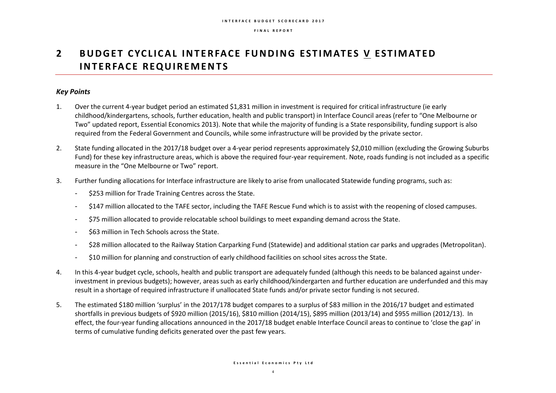# **2** BUDGET CYCLICAL INTERFACE FUNDING ESTIMATES V ESTIMATED **INTERFACE REQUIREMENTS**

## *Key Points*

- 1. Over the current 4-year budget period an estimated \$1,831 million in investment is required for critical infrastructure (ie early childhood/kindergartens, schools, further education, health and public transport) in Interface Council areas (refer to "One Melbourne or Two" updated report, Essential Economics 2013). Note that while the majority of funding is a State responsibility, funding support is also required from the Federal Government and Councils, while some infrastructure will be provided by the private sector.
- 2. State funding allocated in the 2017/18 budget over a 4-year period represents approximately \$2,010 million (excluding the Growing Suburbs Fund) for these key infrastructure areas, which is above the required four-year requirement. Note, roads funding is not included as a specific measure in the "One Melbourne or Two" report.
- 3. Further funding allocations for Interface infrastructure are likely to arise from unallocated Statewide funding programs, such as:
	- \$253 million for Trade Training Centres across the State.
	- \$147 million allocated to the TAFE sector, including the TAFE Rescue Fund which is to assist with the reopening of closed campuses.
	- \$75 million allocated to provide relocatable school buildings to meet expanding demand across the State.
	- \$63 million in Tech Schools across the State.
	- \$28 million allocated to the Railway Station Carparking Fund (Statewide) and additional station car parks and upgrades (Metropolitan).
	- \$10 million for planning and construction of early childhood facilities on school sites across the State.
- 4. In this 4-year budget cycle, schools, health and public transport are adequately funded (although this needs to be balanced against underinvestment in previous budgets); however, areas such as early childhood/kindergarten and further education are underfunded and this may result in a shortage of required infrastructure if unallocated State funds and/or private sector funding is not secured.
- 5. The estimated \$180 million 'surplus' in the 2017/178 budget compares to a surplus of \$83 million in the 2016/17 budget and estimated shortfalls in previous budgets of \$920 million (2015/16), \$810 million (2014/15), \$895 million (2013/14) and \$955 million (2012/13). In effect, the four-year funding allocations announced in the 2017/18 budget enable Interface Council areas to continue to 'close the gap' in terms of cumulative funding deficits generated over the past few years.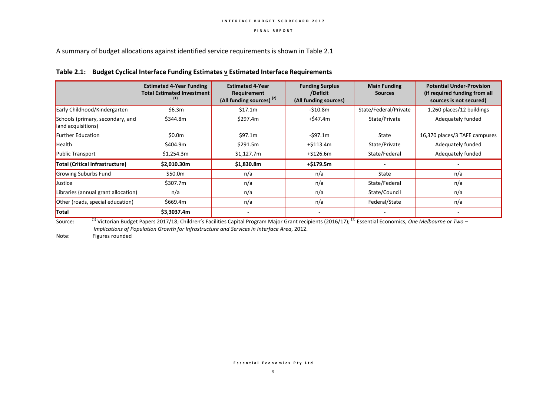A summary of budget allocations against identified service requirements is shown in Table 2.1

|  |  |  | Table 2.1: Budget Cyclical Interface Funding Estimates v Estimated Interface Requirements |  |
|--|--|--|-------------------------------------------------------------------------------------------|--|
|--|--|--|-------------------------------------------------------------------------------------------|--|

|                                                        | <b>Estimated 4-Year Funding</b><br><b>Total Estimated Investment</b><br>(1) | <b>Estimated 4-Year</b><br>Requirement<br>(All funding sources) <sup>(2)</sup> | <b>Funding Surplus</b><br>/Deficit<br>(All funding sources) | <b>Main Funding</b><br><b>Sources</b> | <b>Potential Under-Provision</b><br>(if required funding from all<br>sources is not secured) |
|--------------------------------------------------------|-----------------------------------------------------------------------------|--------------------------------------------------------------------------------|-------------------------------------------------------------|---------------------------------------|----------------------------------------------------------------------------------------------|
| Early Childhood/Kindergarten                           | \$6.3m                                                                      | \$17.1m                                                                        | $-510.8m$                                                   | State/Federal/Private                 | 1,260 places/12 buildings                                                                    |
| Schools (primary, secondary, and<br>land acquisitions) | \$344.8m                                                                    | \$297.4m                                                                       | +\$47.4m                                                    | State/Private                         | Adequately funded                                                                            |
| <b>Further Education</b>                               | \$0.0m                                                                      | \$97.1m                                                                        | -\$97.1m                                                    | State                                 | 16,370 places/3 TAFE campuses                                                                |
| Health                                                 | \$404.9m                                                                    | \$291.5m                                                                       | $+ $113.4m$                                                 | State/Private                         | Adequately funded                                                                            |
| <b>Public Transport</b>                                | \$1,254.3m                                                                  | \$1,127.7m                                                                     | $+ $126.6m$                                                 | State/Federal                         | Adequately funded                                                                            |
| Total (Critical Infrastructure)                        | \$2,010.30m                                                                 | \$1,830.8m                                                                     | $+ $179.5m$                                                 |                                       |                                                                                              |
| Growing Suburbs Fund                                   | \$50.0m                                                                     | n/a                                                                            | n/a                                                         | State                                 | n/a                                                                                          |
| Justice                                                | \$307.7m                                                                    | n/a                                                                            | n/a                                                         | State/Federal                         | n/a                                                                                          |
| Libraries (annual grant allocation)                    | n/a                                                                         | n/a                                                                            | n/a                                                         | State/Council                         | n/a                                                                                          |
| Other (roads, special education)                       | \$669.4m                                                                    | n/a                                                                            | n/a                                                         | Federal/State                         | n/a                                                                                          |
| <b>Total</b>                                           | \$3,3037.4m                                                                 | $\overline{\phantom{0}}$                                                       |                                                             |                                       |                                                                                              |

Source: <sup>(1)</sup> Victorian Budget Papers 2017/18; Children's Facilities Capital Program Major Grant recipients (2016/17); <sup>(2)</sup> Essential Economics, *One Melbourne or Two – Implications of Population Growth for Infrastructure and Services in Interface Area*, 2012.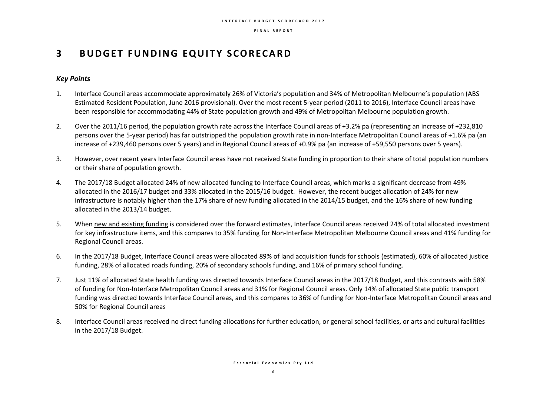# **3 BUDGET FUNDING EQUITY SCORECARD**

## *Key Points*

- 1. Interface Council areas accommodate approximately 26% of Victoria's population and 34% of Metropolitan Melbourne's population (ABS Estimated Resident Population, June 2016 provisional). Over the most recent 5-year period (2011 to 2016), Interface Council areas have been responsible for accommodating 44% of State population growth and 49% of Metropolitan Melbourne population growth.
- 2. Over the 2011/16 period, the population growth rate across the Interface Council areas of +3.2% pa (representing an increase of +232,810 persons over the 5-year period) has far outstripped the population growth rate in non-Interface Metropolitan Council areas of +1.6% pa (an increase of +239,460 persons over 5 years) and in Regional Council areas of +0.9% pa (an increase of +59,550 persons over 5 years).
- 3. However, over recent years Interface Council areas have not received State funding in proportion to their share of total population numbers or their share of population growth.
- 4. The 2017/18 Budget allocated 24% of new allocated funding to Interface Council areas, which marks a significant decrease from 49% allocated in the 2016/17 budget and 33% allocated in the 2015/16 budget. However, the recent budget allocation of 24% for new infrastructure is notably higher than the 17% share of new funding allocated in the 2014/15 budget, and the 16% share of new funding allocated in the 2013/14 budget.
- 5. When new and existing funding is considered over the forward estimates, Interface Council areas received 24% of total allocated investment for key infrastructure items, and this compares to 35% funding for Non-Interface Metropolitan Melbourne Council areas and 41% funding for Regional Council areas.
- 6. In the 2017/18 Budget, Interface Council areas were allocated 89% of land acquisition funds for schools (estimated), 60% of allocated justice funding, 28% of allocated roads funding, 20% of secondary schools funding, and 16% of primary school funding.
- 7. Just 11% of allocated State health funding was directed towards Interface Council areas in the 2017/18 Budget, and this contrasts with 58% of funding for Non-Interface Metropolitan Council areas and 31% for Regional Council areas. Only 14% of allocated State public transport funding was directed towards Interface Council areas, and this compares to 36% of funding for Non-Interface Metropolitan Council areas and 50% for Regional Council areas
- 8. Interface Council areas received no direct funding allocations for further education, or general school facilities, or arts and cultural facilities in the 2017/18 Budget.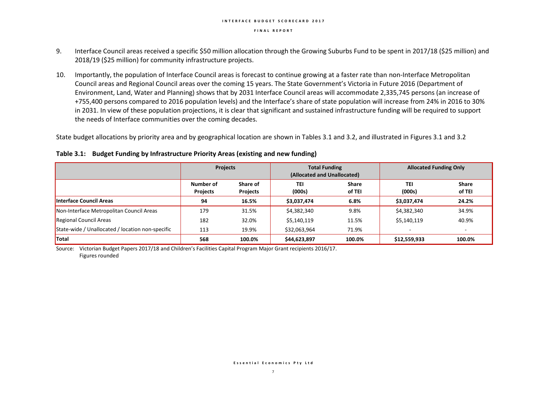#### **I N T E R F A C E B U D G E T S C O R E C A R D 2 0 1 7**

#### **F I N A L R E P O R T**

- 9. Interface Council areas received a specific \$50 million allocation through the Growing Suburbs Fund to be spent in 2017/18 (\$25 million) and 2018/19 (\$25 million) for community infrastructure projects.
- 10. Importantly, the population of Interface Council areas is forecast to continue growing at a faster rate than non-Interface Metropolitan Council areas and Regional Council areas over the coming 15 years. The State Government's Victoria in Future 2016 (Department of Environment, Land, Water and Planning) shows that by 2031 Interface Council areas will accommodate 2,335,745 persons (an increase of +755,400 persons compared to 2016 population levels) and the Interface's share of state population will increase from 24% in 2016 to 30% in 2031. In view of these population projections, it is clear that significant and sustained infrastructure funding will be required to support the needs of Interface communities over the coming decades.

State budget allocations by priority area and by geographical location are shown in Tables 3.1 and 3.2, and illustrated in Figures 3.1 and 3.2

|                                                  | Projects                     |                             | <b>Total Funding</b><br>(Allocated and Unallocated) |                        | <b>Allocated Funding Only</b> |                        |  |
|--------------------------------------------------|------------------------------|-----------------------------|-----------------------------------------------------|------------------------|-------------------------------|------------------------|--|
|                                                  | Number of<br><b>Projects</b> | Share of<br><b>Projects</b> | TEI<br>(000s)                                       | <b>Share</b><br>of TEI | TEI<br>(000s)                 | <b>Share</b><br>of TEI |  |
| Interface Council Areas                          | 94                           | 16.5%                       | \$3,037,474                                         | 6.8%                   | \$3,037,474                   | 24.2%                  |  |
| Non-Interface Metropolitan Council Areas         | 179                          | 31.5%                       | \$4,382,340                                         | 9.8%                   | \$4,382,340                   | 34.9%                  |  |
| Regional Council Areas                           | 182                          | 32.0%                       | \$5,140,119                                         | 11.5%                  | \$5,140,119                   | 40.9%                  |  |
| State-wide / Unallocated / location non-specific | 113                          | 19.9%                       | \$32,063,964                                        | 71.9%                  |                               |                        |  |
| <b>Total</b>                                     | 568                          | 100.0%                      | \$44,623,897                                        | 100.0%                 | \$12,559,933                  | 100.0%                 |  |

**Table 3.1: Budget Funding by Infrastructure Priority Areas (existing and new funding)**

Source: Victorian Budget Papers 2017/18 and Children's Facilities Capital Program Major Grant recipients 2016/17. Figures rounded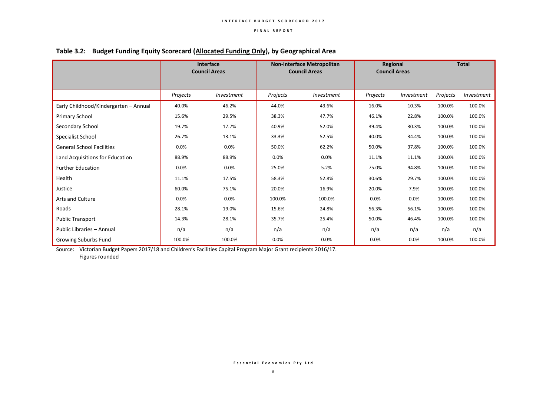|                                       | <b>Interface</b><br><b>Council Areas</b> |            | <b>Non-Interface Metropolitan</b><br><b>Council Areas</b> |            | Regional<br><b>Council Areas</b> |            | <b>Total</b> |            |
|---------------------------------------|------------------------------------------|------------|-----------------------------------------------------------|------------|----------------------------------|------------|--------------|------------|
|                                       | Projects                                 | Investment | Projects                                                  | Investment | Projects                         | Investment | Projects     | Investment |
| Early Childhood/Kindergarten - Annual | 40.0%                                    | 46.2%      | 44.0%                                                     | 43.6%      | 16.0%                            | 10.3%      | 100.0%       | 100.0%     |
| Primary School                        | 15.6%                                    | 29.5%      | 38.3%                                                     | 47.7%      | 46.1%                            | 22.8%      | 100.0%       | 100.0%     |
| Secondary School                      | 19.7%                                    | 17.7%      | 40.9%                                                     | 52.0%      | 39.4%                            | 30.3%      | 100.0%       | 100.0%     |
| Specialist School                     | 26.7%                                    | 13.1%      | 33.3%                                                     | 52.5%      | 40.0%                            | 34.4%      | 100.0%       | 100.0%     |
| <b>General School Facilities</b>      | 0.0%                                     | 0.0%       | 50.0%                                                     | 62.2%      | 50.0%                            | 37.8%      | 100.0%       | 100.0%     |
| Land Acquisitions for Education       | 88.9%                                    | 88.9%      | 0.0%                                                      | 0.0%       | 11.1%                            | 11.1%      | 100.0%       | 100.0%     |
| <b>Further Education</b>              | 0.0%                                     | 0.0%       | 25.0%                                                     | 5.2%       | 75.0%                            | 94.8%      | 100.0%       | 100.0%     |
| Health                                | 11.1%                                    | 17.5%      | 58.3%                                                     | 52.8%      | 30.6%                            | 29.7%      | 100.0%       | 100.0%     |
| Justice                               | 60.0%                                    | 75.1%      | 20.0%                                                     | 16.9%      | 20.0%                            | 7.9%       | 100.0%       | 100.0%     |
| Arts and Culture                      | 0.0%                                     | 0.0%       | 100.0%                                                    | 100.0%     | 0.0%                             | 0.0%       | 100.0%       | 100.0%     |
| Roads                                 | 28.1%                                    | 19.0%      | 15.6%                                                     | 24.8%      | 56.3%                            | 56.1%      | 100.0%       | 100.0%     |
| Public Transport                      | 14.3%                                    | 28.1%      | 35.7%                                                     | 25.4%      | 50.0%                            | 46.4%      | 100.0%       | 100.0%     |
| Public Libraries - Annual             | n/a                                      | n/a        | n/a                                                       | n/a        | n/a                              | n/a        | n/a          | n/a        |
| Growing Suburbs Fund                  | 100.0%                                   | 100.0%     | 0.0%                                                      | 0.0%       | 0.0%                             | 0.0%       | 100.0%       | 100.0%     |

## **Table 3.2: Budget Funding Equity Scorecard (Allocated Funding Only), by Geographical Area**

Source: Victorian Budget Papers 2017/18 and Children's Facilities Capital Program Major Grant recipients 2016/17. Figures rounded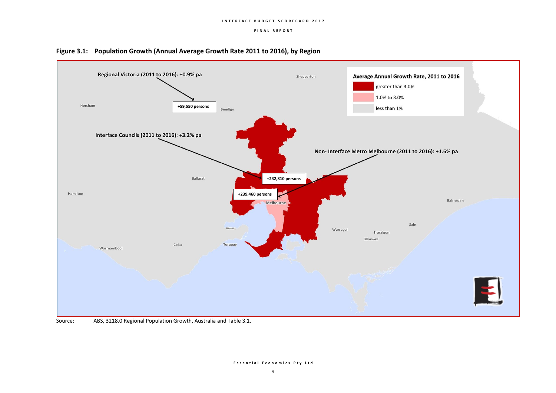



### Source: ABS, 3218.0 Regional Population Growth, Australia and Table 3.1.

#### **E s s e n t i a l E c o n o m i c s P t y L t d**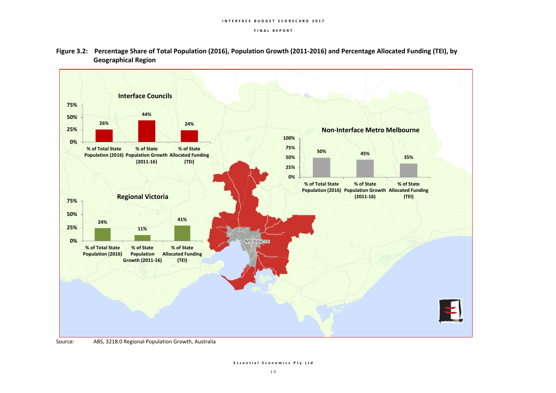

**Figure 3.2: Percentage Share of Total Population (2016), Population Growth (2011-2016) and Percentage Allocated Funding (TEI), by Geographical Region**

Source: ABS, 3218.0 Regional Population Growth, Australia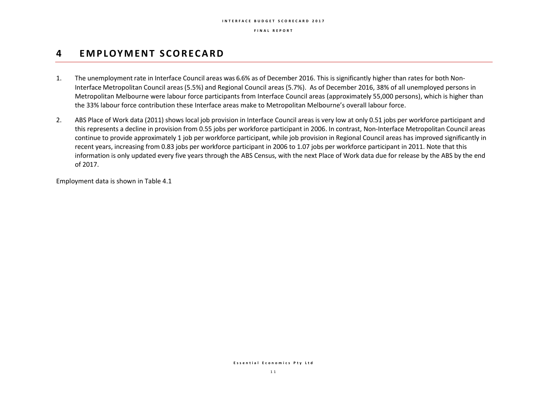# **4 EM P LOY M E N T S C O R E C A R D**

- 1. The unemployment rate in Interface Council areas was 6.6% as of December 2016. This is significantly higher than rates for both Non-Interface Metropolitan Council areas (5.5%) and Regional Council areas (5.7%). As of December 2016, 38% of all unemployed persons in Metropolitan Melbourne were labour force participants from Interface Council areas (approximately 55,000 persons), which is higher than the 33% labour force contribution these Interface areas make to Metropolitan Melbourne's overall labour force.
- 2. ABS Place of Work data (2011) shows local job provision in Interface Council areas is very low at only 0.51 jobs per workforce participant and this represents a decline in provision from 0.55 jobs per workforce participant in 2006. In contrast, Non-Interface Metropolitan Council areas continue to provide approximately 1 job per workforce participant, while job provision in Regional Council areas has improved significantly in recent years, increasing from 0.83 jobs per workforce participant in 2006 to 1.07 jobs per workforce participant in 2011. Note that this information is only updated every five years through the ABS Census, with the next Place of Work data due for release by the ABS by the end of 2017.

Employment data is shown in Table 4.1

**E s s e n t i a l E c o n o m i c s P t y L t d**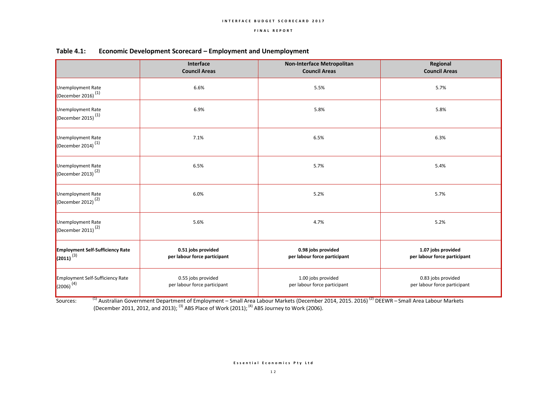|                                                           | Interface<br><b>Council Areas</b>                  | Non-Interface Metropolitan<br><b>Council Areas</b> | Regional<br><b>Council Areas</b>                   |
|-----------------------------------------------------------|----------------------------------------------------|----------------------------------------------------|----------------------------------------------------|
| Unemployment Rate<br>(December 2016) $^{(1)}$             | 6.6%                                               | 5.5%                                               | 5.7%                                               |
| Unemployment Rate<br>(December 2015) <sup>(1)</sup>       | 6.9%                                               | 5.8%                                               | 5.8%                                               |
| Unemployment Rate<br>(December 2014) $(1)$                | 7.1%                                               | 6.5%                                               | 6.3%                                               |
| Unemployment Rate<br>(December 2013) <sup>(2)</sup>       | 6.5%                                               | 5.7%                                               | 5.4%                                               |
| Unemployment Rate<br>(December 2012) <sup>(2)</sup>       | 6.0%                                               | 5.2%                                               | 5.7%                                               |
| Unemployment Rate<br>(December 2011) <sup>(2)</sup>       | 5.6%                                               | 4.7%                                               | 5.2%                                               |
| <b>Employment Self-Sufficiency Rate</b><br>$(2011)^{(3)}$ | 0.51 jobs provided<br>per labour force participant | 0.98 jobs provided<br>per labour force participant | 1.07 jobs provided<br>per labour force participant |
| Employment Self-Sufficiency Rate<br>$(2006)^{(4)}$        | 0.55 jobs provided<br>per labour force participant | 1.00 jobs provided<br>per labour force participant | 0.83 jobs provided<br>per labour force participant |

### **Table 4.1: Economic Development Scorecard – Employment and Unemployment**

Sources: <sup>(1)</sup> Australian Government Department of Employment – Small Area Labour Markets (December 2014, 2015. 2016) <sup>(2)</sup> DEEWR – Small Area Labour Markets (December 2011, 2012, and 2013);  $^{(3)}$  ABS Place of Work (2011);  $^{(4)}$  ABS Journey to Work (2006).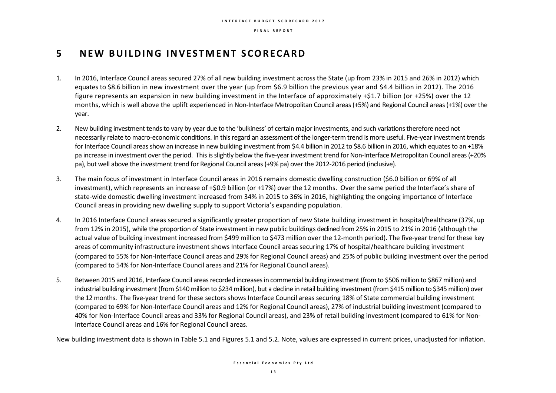# **5 N E W B U I L D I N G I N V E S T M E N T S C O R E C A R D**

- 1. In 2016, Interface Council areas secured 27% of all new building investment across the State (up from 23% in 2015 and 26% in 2012) which equates to \$8.6 billion in new investment over the year (up from \$6.9 billion the previous year and \$4.4 billion in 2012). The 2016 figure represents an expansion in new building investment in the Interface of approximately +\$1.7 billion (or +25%) over the 12 months, which is well above the uplift experienced in Non-Interface Metropolitan Council areas (+5%) and Regional Council areas (+1%) over the year.
- 2. New building investment tends to vary by year due to the 'bulkiness' of certain major investments, and such variations therefore need not necessarily relate to macro-economic conditions. In this regard an assessment of the longer-term trend is more useful. Five-year investment trends for Interface Council areas show an increase in new building investment from \$4.4 billion in 2012 to \$8.6 billion in 2016, which equates to an +18% pa increase in investment over the period. This is slightly below the five-year investment trend for Non-Interface Metropolitan Council areas (+20% pa), but well above the investment trend for Regional Council areas (+9% pa) over the 2012-2016 period (inclusive).
- 3. The main focus of investment in Interface Council areas in 2016 remains domestic dwelling construction (\$6.0 billion or 69% of all investment), which represents an increase of +\$0.9 billion (or +17%) over the 12 months. Over the same period the Interface's share of state-wide domestic dwelling investment increased from 34% in 2015 to 36% in 2016, highlighting the ongoing importance of Interface Council areas in providing new dwelling supply to support Victoria's expanding population.
- 4. In 2016 Interface Council areas secured a significantly greater proportion of new State building investment in hospital/healthcare (37%, up from 12% in 2015), while the proportion of State investment in new public buildings declined from 25% in 2015 to 21% in 2016 (although the actual value of building investment increased from \$499 million to \$473 million over the 12-month period). The five-year trend for these key areas of community infrastructure investment shows Interface Council areas securing 17% of hospital/healthcare building investment (compared to 55% for Non-Interface Council areas and 29% for Regional Council areas) and 25% of public building investment over the period (compared to 54% for Non-Interface Council areas and 21% for Regional Council areas).
- 5. Between 2015 and 2016, Interface Council areas recorded increases in commercial building investment (from to \$506 million to \$867 million) and industrial building investment (from \$140 million to \$234 million), but a decline in retail building investment (from \$415 million to \$345 million) over the 12 months. The five-year trend for these sectors shows Interface Council areas securing 18% of State commercial building investment (compared to 69% for Non-Interface Council areas and 12% for Regional Council areas), 27% of industrial building investment (compared to 40% for Non-Interface Council areas and 33% for Regional Council areas), and 23% of retail building investment (compared to 61% for Non-Interface Council areas and 16% for Regional Council areas.

New building investment data is shown in Table 5.1 and Figures 5.1 and 5.2. Note, values are expressed in current prices, unadjusted for inflation.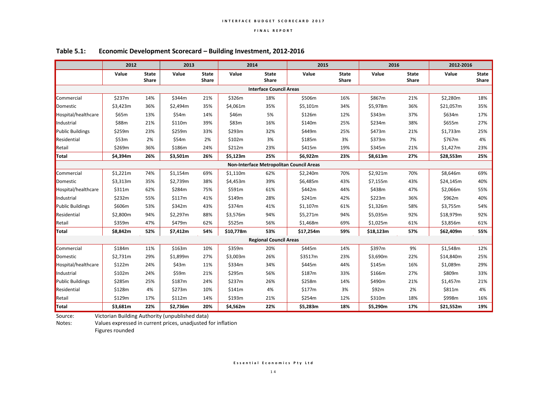|                         | 2012     |                       | 2013     |                       | 2014      |                                | 2015                                     |                       | 2016      |                       | 2012-2016 |                              |
|-------------------------|----------|-----------------------|----------|-----------------------|-----------|--------------------------------|------------------------------------------|-----------------------|-----------|-----------------------|-----------|------------------------------|
|                         | Value    | <b>State</b><br>Share | Value    | <b>State</b><br>Share | Value     | <b>State</b><br>Share          | Value                                    | <b>State</b><br>Share | Value     | <b>State</b><br>Share | Value     | <b>State</b><br><b>Share</b> |
|                         |          |                       |          |                       |           | <b>Interface Council Areas</b> |                                          |                       |           |                       |           |                              |
| Commercial              | \$237m   | 14%                   | \$344m   | 21%                   | \$326m    | 18%                            | \$506m                                   | 16%                   | \$867m    | 21%                   | \$2,280m  | 18%                          |
| Domestic                | \$3,423m | 36%                   | \$2,494m | 35%                   | \$4,061m  | 35%                            | \$5,101m                                 | 34%                   | \$5,978m  | 36%                   | \$21,057m | 35%                          |
| Hospital/healthcare     | \$65m    | 13%                   | \$54m    | 14%                   | \$46m     | 5%                             | \$126m                                   | 12%                   | \$343m    | 37%                   | \$634m    | 17%                          |
| Industrial              | \$88m    | 21%                   | \$110m   | 39%                   | \$83m     | 16%                            | \$140m                                   | 25%                   | \$234m    | 38%                   | \$655m    | 27%                          |
| <b>Public Buildings</b> | \$259m   | 23%                   | \$259m   | 33%                   | \$293m    | 32%                            | \$449m                                   | 25%                   | \$473m    | 21%                   | \$1,733m  | 25%                          |
| Residential             | \$53m    | 2%                    | \$54m    | 2%                    | \$102m    | 3%                             | \$185m                                   | 3%                    | \$373m    | 7%                    | \$767m    | 4%                           |
| Retail                  | \$269m   | 36%                   | \$186m   | 24%                   | \$212m    | 23%                            | \$415m                                   | 19%                   | \$345m    | 21%                   | \$1,427m  | 23%                          |
| Total                   | \$4,394m | 26%                   | \$3,501m | 26%                   | \$5,123m  | 25%                            | \$6,922m                                 | 23%                   | \$8,613m  | 27%                   | \$28,553m | 25%                          |
|                         |          |                       |          |                       |           |                                | Non-Interface Metropolitan Council Areas |                       |           |                       |           |                              |
| Commercial              | \$1,221m | 74%                   | \$1,154m | 69%                   | \$1,110m  | 62%                            | \$2,240m                                 | 70%                   | \$2,921m  | 70%                   | \$8,646m  | 69%                          |
| Domestic                | \$3,313m | 35%                   | \$2,739m | 38%                   | \$4,453m  | 39%                            | \$6,485m                                 | 43%                   | \$7,155m  | 43%                   | \$24,145m | 40%                          |
| Hospital/healthcare     | \$311m   | 62%                   | \$284m   | 75%                   | \$591m    | 61%                            | \$442m                                   | 44%                   | \$438m    | 47%                   | \$2,066m  | 55%                          |
| Industrial              | \$232m   | 55%                   | \$117m   | 41%                   | \$149m    | 28%                            | \$241m                                   | 42%                   | \$223m    | 36%                   | \$962m    | 40%                          |
| <b>Public Buildings</b> | \$606m   | 53%                   | \$342m   | 43%                   | \$374m    | 41%                            | \$1,107m                                 | 61%                   | \$1,326m  | 58%                   | \$3,755m  | 54%                          |
| Residential             | \$2,800m | 94%                   | \$2,297m | 88%                   | \$3,576m  | 94%                            | \$5,271m                                 | 94%                   | \$5,035m  | 92%                   | \$18,979m | 92%                          |
| Retail                  | \$359m   | 47%                   | \$479m   | 62%                   | \$525m    | 56%                            | \$1,468m                                 | 69%                   | \$1,025m  | 61%                   | \$3,856m  | 61%                          |
| Total                   | \$8,842m | 52%                   | \$7,412m | 54%                   | \$10,778m | 53%                            | \$17,254m                                | 59%                   | \$18,123m | 57%                   | \$62,409m | 55%                          |
|                         |          |                       |          |                       |           | <b>Regional Council Areas</b>  |                                          |                       |           |                       |           |                              |
| Commercial              | \$184m   | 11%                   | \$163m   | 10%                   | \$359m    | 20%                            | \$445m                                   | 14%                   | \$397m    | 9%                    | \$1,548m  | 12%                          |
| Domestic                | \$2,731m | 29%                   | \$1,899m | 27%                   | \$3,003m  | 26%                            | \$3517m                                  | 23%                   | \$3,690m  | 22%                   | \$14,840m | 25%                          |
| Hospital/healthcare     | \$122m   | 24%                   | \$43m    | 11%                   | \$334m    | 34%                            | \$445m                                   | 44%                   | \$145m    | 16%                   | \$1,089m  | 29%                          |
| Industrial              | \$102m   | 24%                   | \$59m    | 21%                   | \$295m    | 56%                            | \$187m                                   | 33%                   | \$166m    | 27%                   | \$809m    | 33%                          |
| <b>Public Buildings</b> | \$285m   | 25%                   | \$187m   | 24%                   | \$237m    | 26%                            | \$258m                                   | 14%                   | \$490m    | 21%                   | \$1,457m  | 21%                          |
| Residential             | \$128m   | 4%                    | \$273m   | 10%                   | \$141m    | 4%                             | \$177m                                   | 3%                    | \$92m     | 2%                    | \$811m    | 4%                           |
| Retail                  | \$129m   | 17%                   | \$112m   | 14%                   | \$193m    | 21%                            | \$254m                                   | 12%                   | \$310m    | 18%                   | \$998m    | 16%                          |
| Total                   | \$3,681m | 22%                   | \$2,736m | 20%                   | \$4,562m  | 22%                            | \$5,283m                                 | 18%                   | \$5,290m  | 17%                   | \$21,552m | 19%                          |

## **Table 5.1: Economic Development Scorecard – Building Investment, 2012-2016**

Source: Victorian Building Authority (unpublished data)

Notes: Values expressed in current prices, unadjusted for inflation

Figures rounded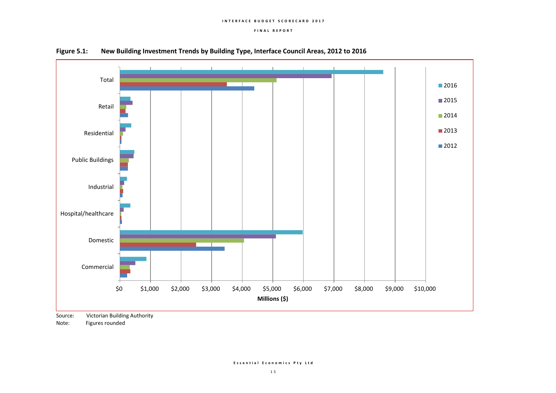

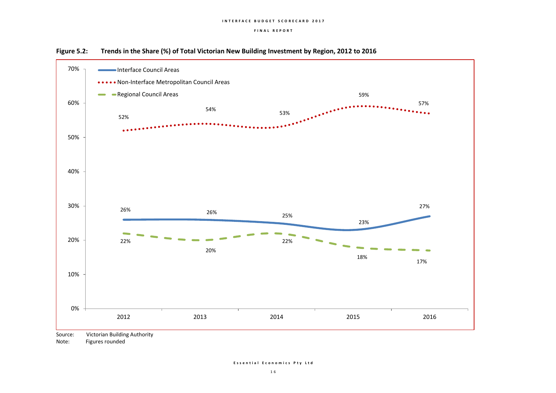

**Figure 5.2: Trends in the Share (%) of Total Victorian New Building Investment by Region, 2012 to 2016**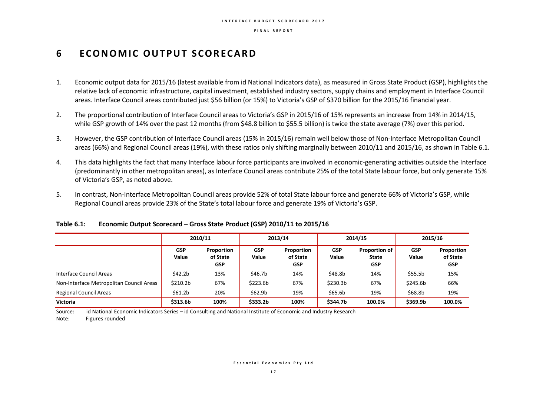# **6 ECONOMIC OUTPUT SCORECARD**

- 1. Economic output data for 2015/16 (latest available from id National Indicators data), as measured in Gross State Product (GSP), highlights the relative lack of economic infrastructure, capital investment, established industry sectors, supply chains and employment in Interface Council areas. Interface Council areas contributed just \$56 billion (or 15%) to Victoria's GSP of \$370 billion for the 2015/16 financial year.
- 2. The proportional contribution of Interface Council areas to Victoria's GSP in 2015/16 of 15% represents an increase from 14% in 2014/15, while GSP growth of 14% over the past 12 months (from \$48.8 billion to \$55.5 billion) is twice the state average (7%) over this period.
- 3. However, the GSP contribution of Interface Council areas (15% in 2015/16) remain well below those of Non-Interface Metropolitan Council areas (66%) and Regional Council areas (19%), with these ratios only shifting marginally between 2010/11 and 2015/16, as shown in Table 6.1.
- 4. This data highlights the fact that many Interface labour force participants are involved in economic-generating activities outside the Interface (predominantly in other metropolitan areas), as Interface Council areas contribute 25% of the total State labour force, but only generate 15% of Victoria's GSP, as noted above.
- 5. In contrast, Non-Interface Metropolitan Council areas provide 52% of total State labour force and generate 66% of Victoria's GSP, while Regional Council areas provide 23% of the State's total labour force and generate 19% of Victoria's GSP.

|                                          | 2010/11              |                                      |                     | 2013/14                              |                      | 2014/15                                            | 2015/16             |                                      |
|------------------------------------------|----------------------|--------------------------------------|---------------------|--------------------------------------|----------------------|----------------------------------------------------|---------------------|--------------------------------------|
|                                          | <b>GSP</b><br>Value  | Proportion<br>of State<br><b>GSP</b> | <b>GSP</b><br>Value | Proportion<br>of State<br><b>GSP</b> | <b>GSP</b><br>Value  | <b>Proportion of</b><br><b>State</b><br><b>GSP</b> | <b>GSP</b><br>Value | Proportion<br>of State<br><b>GSP</b> |
| Interface Council Areas                  | \$42.2b              | 13%                                  | \$46.7b             | 14%                                  | \$48.8b              | 14%                                                | \$55.5b             | 15%                                  |
| Non-Interface Metropolitan Council Areas | \$210.2 <sub>b</sub> | 67%                                  | \$223.6b            | 67%                                  | \$230.3 <sub>b</sub> | 67%                                                | \$245.6b            | 66%                                  |
| <b>Regional Council Areas</b>            | \$61.2 <sub>b</sub>  | 20%                                  | \$62.9 <sub>b</sub> | 19%                                  | \$65.6b              | 19%                                                | \$68.8b             | 19%                                  |
| <b>Victoria</b>                          | \$313.6b             | 100%                                 | \$333.2b            | 100%                                 | \$344.7b             | 100.0%                                             | \$369.9b            | 100.0%                               |

### **Table 6.1: Economic Output Scorecard – Gross State Product (GSP) 2010/11 to 2015/16**

Source: id National Economic Indicators Series – id Consulting and National Institute of Economic and Industry Research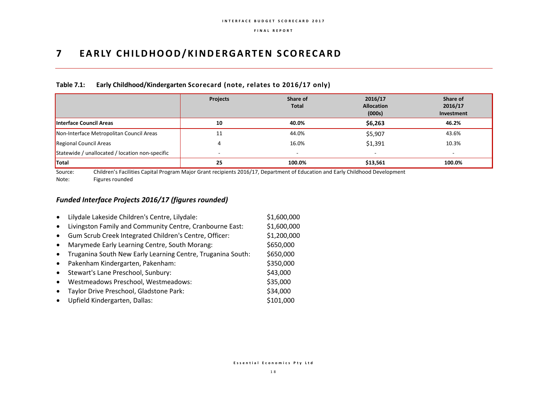# **7 EARLY CHILDHOOD/KINDERGARTEN SCORECARD**

### **Table 7.1: Early Childhood/Kindergarten Scorecard (note, relates to 2016/17 only)**

|                                                 | <b>Projects</b> | Share of<br><b>Total</b> | 2016/17<br><b>Allocation</b><br>(000s) | Share of<br>2016/17<br>Investment |
|-------------------------------------------------|-----------------|--------------------------|----------------------------------------|-----------------------------------|
| <b>Interface Council Areas</b>                  | 10              | 40.0%                    | \$6,263                                | 46.2%                             |
| Non-Interface Metropolitan Council Areas        | 11              | 44.0%                    | \$5,907                                | 43.6%                             |
| Regional Council Areas                          |                 | 16.0%                    | \$1,391                                | 10.3%                             |
| Statewide / unallocated / location non-specific |                 | $\overline{a}$           | $\overline{\phantom{a}}$               |                                   |
| <b>Total</b>                                    | 25              | 100.0%                   | \$13,561                               | 100.0%                            |

Source: Children's Facilities Capital Program Major Grant recipients 2016/17, Department of Education and Early Childhood Development Note: Figures rounded

# *Funded Interface Projects 2016/17 (figures rounded)*

|           | Lilydale Lakeside Children's Centre, Lilydale:              | \$1,600,000 |
|-----------|-------------------------------------------------------------|-------------|
| $\bullet$ | Livingston Family and Community Centre, Cranbourne East:    | \$1,600,000 |
| $\bullet$ | Gum Scrub Creek Integrated Children's Centre, Officer:      | \$1,200,000 |
| $\bullet$ | Marymede Early Learning Centre, South Morang:               | \$650,000   |
|           | Truganina South New Early Learning Centre, Truganina South: | \$650,000   |
| $\bullet$ | Pakenham Kindergarten, Pakenham:                            | \$350,000   |
| $\bullet$ | Stewart's Lane Preschool, Sunbury:                          | \$43,000    |
| $\bullet$ | Westmeadows Preschool, Westmeadows:                         | \$35,000    |
|           | Taylor Drive Preschool, Gladstone Park:                     | \$34,000    |
|           | Upfield Kindergarten, Dallas:                               | \$101,000   |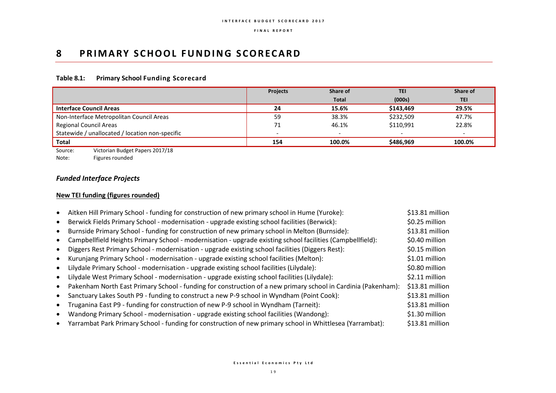# **8 PRIMARY SCHOOL FUNDING SCORECARD**

## **Table 8.1: Primary School Funding Scorecard**

|                                                 | <b>Projects</b> | Share of                 | <b>TEI</b> | Share of                 |
|-------------------------------------------------|-----------------|--------------------------|------------|--------------------------|
|                                                 |                 | <b>Total</b>             | (000s)     | <b>TEI</b>               |
| <b>Interface Council Areas</b>                  | 24              | 15.6%                    | \$143,469  | 29.5%                    |
| Non-Interface Metropolitan Council Areas        | 59              | 38.3%                    | \$232,509  | 47.7%                    |
| Regional Council Areas                          | 71              | 46.1%                    | \$110,991  | 22.8%                    |
| Statewide / unallocated / location non-specific |                 | $\overline{\phantom{0}}$ |            | $\overline{\phantom{0}}$ |
| Total                                           | 154             | 100.0%                   | \$486.969  | 100.0%                   |

Source: Victorian Budget Papers 2017/18

Note: Figures rounded

# *Funded Interface Projects*

## **New TEI funding (figures rounded)**

| Aitken Hill Primary School - funding for construction of new primary school in Hume (Yuroke):                 | \$13.81 million |
|---------------------------------------------------------------------------------------------------------------|-----------------|
| Berwick Fields Primary School - modernisation - upgrade existing school facilities (Berwick):                 | \$0.25 million  |
| Burnside Primary School - funding for construction of new primary school in Melton (Burnside):                | \$13.81 million |
| Campbellfield Heights Primary School - modernisation - upgrade existing school facilities (Campbellfield):    | \$0.40 million  |
| Diggers Rest Primary School - modernisation - upgrade existing school facilities (Diggers Rest):              | \$0.15 million  |
| Kurunjang Primary School - modernisation - upgrade existing school facilities (Melton):                       | \$1.01 million  |
| Lilydale Primary School - modernisation - upgrade existing school facilities (Lilydale):                      | \$0.80 million  |
| Lilydale West Primary School - modernisation - upgrade existing school facilities (Lilydale):                 | \$2.11 million  |
| Pakenham North East Primary School - funding for construction of a new primary school in Cardinia (Pakenham): | \$13.81 million |
| Sanctuary Lakes South P9 - funding to construct a new P-9 school in Wyndham (Point Cook):                     | \$13.81 million |
| Truganina East P9 - funding for construction of new P-9 school in Wyndham (Tarneit):                          | \$13.81 million |
| Wandong Primary School - modernisation - upgrade existing school facilities (Wandong):                        | \$1.30 million  |
| Yarrambat Park Primary School - funding for construction of new primary school in Whittlesea (Yarrambat):     | \$13.81 million |
|                                                                                                               |                 |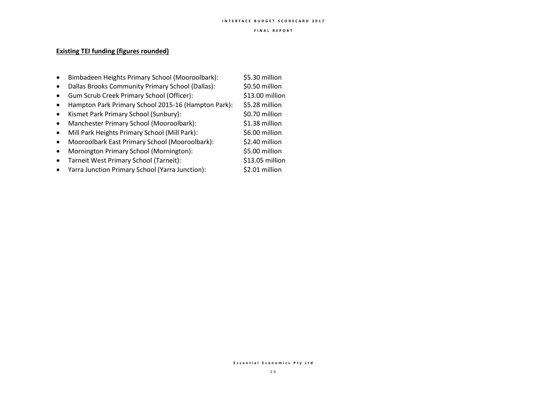#### **I N T E R F A C E B U D G E T S C O R E C A R D 2 0 1 7**

#### **F I N A L R E P O R T**

## **Existing TEI funding (figures rounded)**

- Bimbadeen Heights Primary School (Mooroolbark): \$5.30 million
- Dallas Brooks Community Primary School (Dallas): \$0.50 million
- Gum Scrub Creek Primary School (Officer): \$13.00 million
- Hampton Park Primary School 2015-16 (Hampton Park): \$5.28 million
- Kismet Park Primary School (Sunbury): \$0.70 million
- Manchester Primary School (Mooroolbark): \$1.38 million
- Mill Park Heights Primary School (Mill Park): \$6.00 million
- Mooroolbark East Primary School (Mooroolbark): \$2.40 million
- Mornington Primary School (Mornington): \$5.00 million
- Tarneit West Primary School (Tarneit): \$13.05 million
- Yarra Junction Primary School (Yarra Junction): \$2.01 million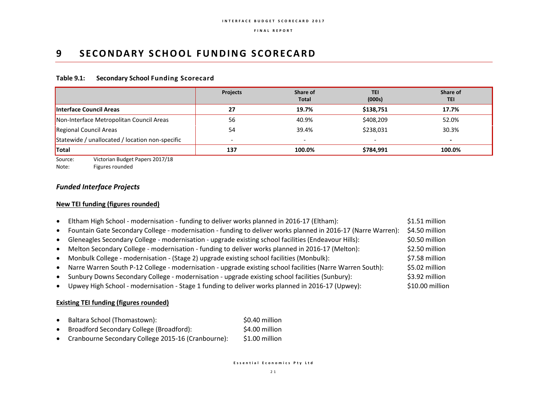# **9 SECONDARY SCHOOL FUNDING SCORECARD**

### **Table 9.1: Secondary School Funding Scorecard**

|                                                 | <b>Projects</b>          | Share of<br><b>Total</b> | <b>TEI</b><br>(000s) | Share of<br><b>TEI</b> |
|-------------------------------------------------|--------------------------|--------------------------|----------------------|------------------------|
| Interface Council Areas                         | 27                       | 19.7%                    | \$138,751            | 17.7%                  |
| Non-Interface Metropolitan Council Areas        | 56                       | 40.9%                    | \$408,209            | 52.0%                  |
| Regional Council Areas                          | 54                       | 39.4%                    | \$238,031            | 30.3%                  |
| Statewide / unallocated / location non-specific | $\overline{\phantom{a}}$ | $\overline{\phantom{0}}$ | -                    |                        |
| <b>Total</b>                                    | 137                      | 100.0%                   | \$784,991            | 100.0%                 |

Source: Victorian Budget Papers 2017/18

Note: Figures rounded

# *Funded Interface Projects*

## **New TEI funding (figures rounded)**

| Eltham High School - modernisation - funding to deliver works planned in 2016-17 (Eltham):                    | \$1.51 million  |
|---------------------------------------------------------------------------------------------------------------|-----------------|
| Fountain Gate Secondary College - modernisation - funding to deliver works planned in 2016-17 (Narre Warren): | \$4.50 million  |
| Gleneagles Secondary College - modernisation - upgrade existing school facilities (Endeavour Hills):          | \$0.50 million  |
| Melton Secondary College - modernisation - funding to deliver works planned in 2016-17 (Melton):              | \$2.50 million  |
| Monbulk College - modernisation - (Stage 2) upgrade existing school facilities (Monbulk):                     | \$7.58 million  |
| Narre Warren South P-12 College - modernisation - upgrade existing school facilities (Narre Warren South):    | \$5.02 million  |
| Sunbury Downs Secondary College - modernisation - upgrade existing school facilities (Sunbury):               | \$3.92 million  |
| Upwey High School - modernisation - Stage 1 funding to deliver works planned in 2016-17 (Upwey):              | \$10.00 million |

### **Existing TEI funding (figures rounded)**

- Baltara School (Thomastown): \$0.40 million
- Broadford Secondary College (Broadford): \$4.00 million
- Cranbourne Secondary College 2015-16 (Cranbourne): \$1.00 million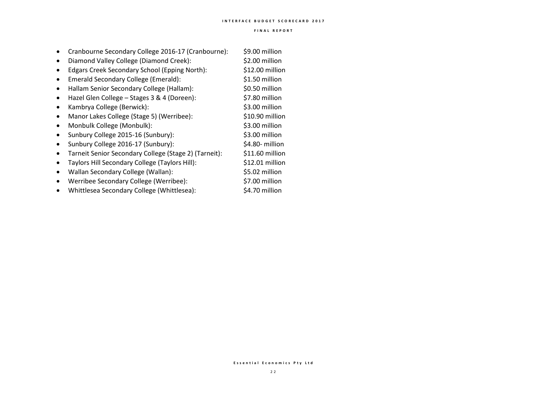- Cranbourne Secondary College 2016-17 (Cranbourne): \$9.00 million
- Diamond Valley College (Diamond Creek): \$2.00 million
- Edgars Creek Secondary School (Epping North): \$12.00 million
- Emerald Secondary College (Emerald): \$1.50 million
- Hallam Senior Secondary College (Hallam): \$0.50 million
- Hazel Glen College Stages 3 & 4 (Doreen): \$7.80 million
- Kambrya College (Berwick): \$3.00 million
- Manor Lakes College (Stage 5) (Werribee): \$10.90 million
- Monbulk College (Monbulk): \$3.00 million
- Sunbury College 2015-16 (Sunbury): \$3.00 million
- Sunbury College 2016-17 (Sunbury): \$4.80- million
- Tarneit Senior Secondary College (Stage 2) (Tarneit): \$11.60 million
- Taylors Hill Secondary College (Taylors Hill): \$12.01 million
- Wallan Secondary College (Wallan): \$5.02 million
- Werribee Secondary College (Werribee): \$7.00 million
- Whittlesea Secondary College (Whittlesea): \$4.70 million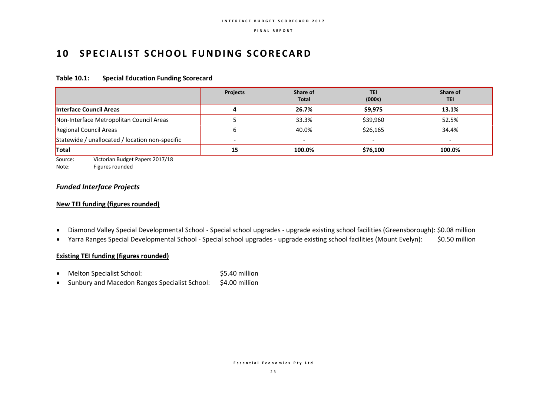# **10 SPECIALIST SCHOOL FUNDING SCORECARD**

### **Table 10.1: Special Education Funding Scorecard**

|                                                 | <b>Projects</b> | Share of<br><b>Total</b> | <b>TEI</b><br>(000s)     | Share of<br><b>TEI</b>   |
|-------------------------------------------------|-----------------|--------------------------|--------------------------|--------------------------|
| Interface Council Areas                         | 4               | 26.7%                    | \$9,975                  | 13.1%                    |
| Non-Interface Metropolitan Council Areas        |                 | 33.3%                    | \$39,960                 | 52.5%                    |
| Regional Council Areas                          | b               | 40.0%                    | \$26,165                 | 34.4%                    |
| Statewide / unallocated / location non-specific |                 | $\overline{\phantom{0}}$ | $\overline{\phantom{a}}$ | $\overline{\phantom{0}}$ |
| <b>Total</b>                                    | 15              | 100.0%                   | \$76,100                 | 100.0%                   |

Source: Victorian Budget Papers 2017/18

Note: Figures rounded

## *Funded Interface Projects*

## **New TEI funding (figures rounded)**

- Diamond Valley Special Developmental School Special school upgrades upgrade existing school facilities (Greensborough): \$0.08 million
- Yarra Ranges Special Developmental School Special school upgrades upgrade existing school facilities (Mount Evelyn): \$0.50 million

### **Existing TEI funding (figures rounded)**

- Melton Specialist School: \$5.40 million
- Sunbury and Macedon Ranges Specialist School: \$4.00 million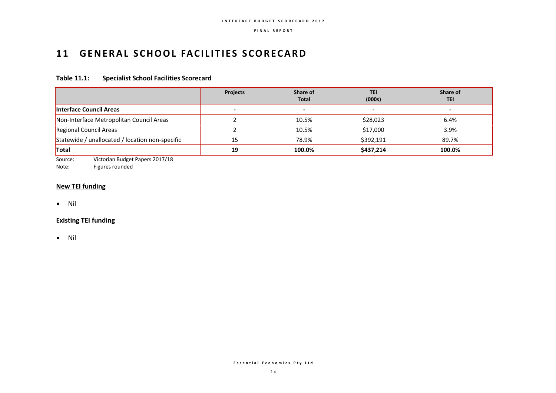# 11 **GENERAL SCHOOL FACILITIES SCORECARD**

## **Table 11.1: Specialist School Facilities Scorecard**

|                                                 | <b>Projects</b>          | Share of<br><b>Total</b> | TEI<br>(000s)            | Share of<br><b>TEI</b>   |
|-------------------------------------------------|--------------------------|--------------------------|--------------------------|--------------------------|
| <b>Interface Council Areas</b>                  | $\overline{\phantom{a}}$ | ٠                        | $\overline{\phantom{0}}$ | $\overline{\phantom{0}}$ |
| Non-Interface Metropolitan Council Areas        |                          | 10.5%                    | \$28,023                 | 6.4%                     |
| Regional Council Areas                          |                          | 10.5%                    | \$17,000                 | 3.9%                     |
| Statewide / unallocated / location non-specific | 15                       | 78.9%                    | \$392,191                | 89.7%                    |
| <b>Total</b>                                    | 19                       | 100.0%                   | \$437,214                | 100.0%                   |

Source: Victorian Budget Papers 2017/18

Note: Figures rounded

## **New TEI funding**

 $\bullet$  Nil

### **Existing TEI funding**

• Nil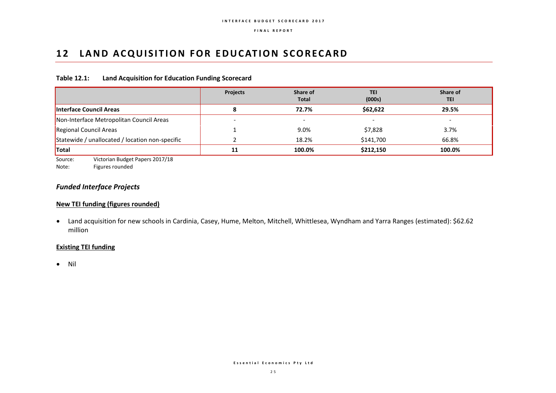# **12 LAND ACQUISITION FOR EDUCATION SCORECARD**

### **Table 12.1: Land Acquisition for Education Funding Scorecard**

|                                                 | <b>Projects</b> | Share of<br><b>Total</b> | <b>TEI</b><br>(000s) | Share of<br><b>TEI</b> |
|-------------------------------------------------|-----------------|--------------------------|----------------------|------------------------|
| <b>Interface Council Areas</b>                  | 8               | 72.7%                    | \$62,622             | 29.5%                  |
| Non-Interface Metropolitan Council Areas        |                 |                          |                      |                        |
| Regional Council Areas                          |                 | 9.0%                     | \$7,828              | 3.7%                   |
| Statewide / unallocated / location non-specific |                 | 18.2%                    | \$141,700            | 66.8%                  |
| <b>Total</b>                                    | 11              | 100.0%                   | \$212,150            | 100.0%                 |

Source: Victorian Budget Papers 2017/18

Note: Figures rounded

# *Funded Interface Projects*

## **New TEI funding (figures rounded)**

 Land acquisition for new schools in Cardinia, Casey, Hume, Melton, Mitchell, Whittlesea, Wyndham and Yarra Ranges (estimated): \$62.62 million

### **Existing TEI funding**

 $\bullet$  Nil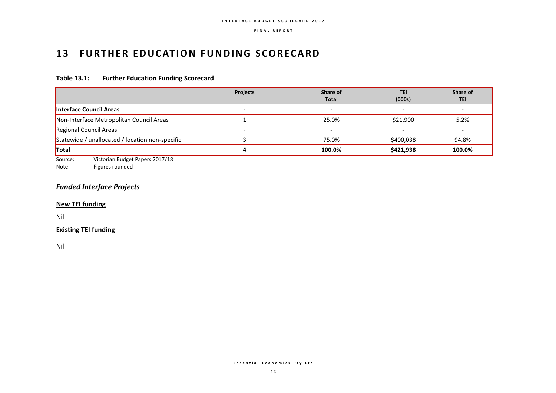# **13 FURTHER EDUCATION FUNDING SCORECARD**

## **Table 13.1: Further Education Funding Scorecard**

|                                                 | <b>Projects</b>          | Share of<br><b>Total</b> | <b>TEI</b><br>(000s)     | Share of<br><b>TEI</b> |
|-------------------------------------------------|--------------------------|--------------------------|--------------------------|------------------------|
| Interface Council Areas                         | $\overline{\phantom{0}}$ |                          | $\overline{\phantom{0}}$ | -                      |
| Non-Interface Metropolitan Council Areas        |                          | 25.0%                    | \$21,900                 | 5.2%                   |
| Regional Council Areas                          |                          |                          |                          |                        |
| Statewide / unallocated / location non-specific |                          | 75.0%                    | \$400,038                | 94.8%                  |
| <b>Total</b>                                    |                          | 100.0%                   | \$421,938                | 100.0%                 |

Source: Victorian Budget Papers 2017/18

Note: Figures rounded

# *Funded Interface Projects*

**New TEI funding**

Nil

## **Existing TEI funding**

Nil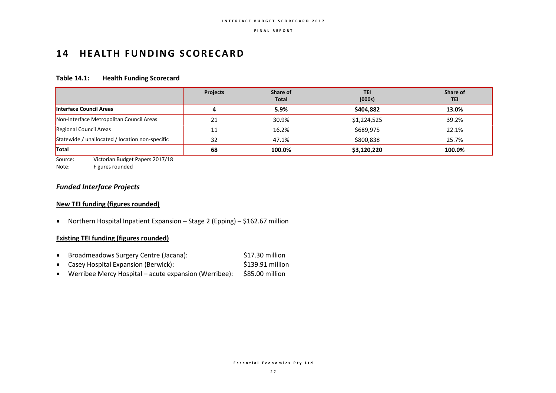# 14 **HEALTH FUNDING SCORECARD**

### **Table 14.1: Health Funding Scorecard**

|                                                 | <b>Projects</b> | Share of<br><b>Total</b> | TEI<br>(000s) | Share of<br><b>TEI</b> |
|-------------------------------------------------|-----------------|--------------------------|---------------|------------------------|
| <b>Interface Council Areas</b>                  |                 | 5.9%                     | \$404,882     | 13.0%                  |
| Non-Interface Metropolitan Council Areas        | 21              | 30.9%                    | \$1,224,525   | 39.2%                  |
| Regional Council Areas                          | 11              | 16.2%                    | \$689,975     | 22.1%                  |
| Statewide / unallocated / location non-specific | 32              | 47.1%                    | \$800,838     | 25.7%                  |
| <b>Total</b>                                    | 68              | 100.0%                   | \$3,120,220   | 100.0%                 |

Source: Victorian Budget Papers 2017/18

Note: Figures rounded

# *Funded Interface Projects*

## **New TEI funding (figures rounded)**

Northern Hospital Inpatient Expansion – Stage 2 (Epping) – \$162.67 million

## **Existing TEI funding (figures rounded)**

- Broadmeadows Surgery Centre (Jacana): \$17.30 million
- Casey Hospital Expansion (Berwick):  $\overline{\phantom{a}}$  \$139.91 million
- Werribee Mercy Hospital acute expansion (Werribee): \$85.00 million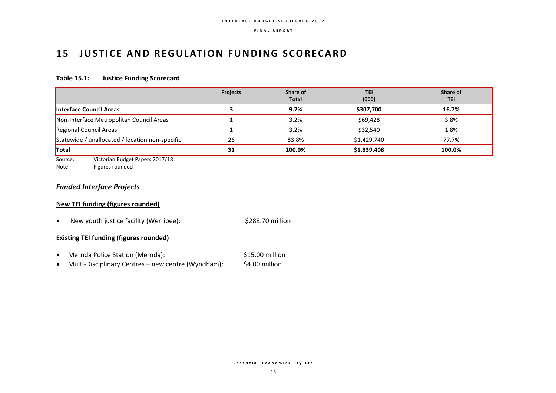# **15 JUSTICE AND REGULATION FUNDING SCORECARD**

### **Table 15.1: Justice Funding Scorecard**

|                                                 | <b>Projects</b> | Share of<br><b>Total</b> | <b>TEI</b><br>(000) | Share of<br><b>TEI</b> |
|-------------------------------------------------|-----------------|--------------------------|---------------------|------------------------|
| Interface Council Areas                         |                 | 9.7%                     | \$307,700           | 16.7%                  |
| Non-Interface Metropolitan Council Areas        |                 | 3.2%                     | \$69,428            | 3.8%                   |
| Regional Council Areas                          |                 | 3.2%                     | \$32,540            | 1.8%                   |
| Statewide / unallocated / location non-specific | 26              | 83.8%                    | \$1,429,740         | 77.7%                  |
| <b>Total</b>                                    | 31              | 100.0%                   | \$1,839,408         | 100.0%                 |

Source: Victorian Budget Papers 2017/18

Note: Figures rounded

# *Funded Interface Projects*

## **New TEI funding (figures rounded)**

• New youth justice facility (Werribee): \$288.70 million

### **Existing TEI funding (figures rounded)**

- Mernda Police Station (Mernda): \$15.00 million
- Multi-Disciplinary Centres new centre (Wyndham): \$4.00 million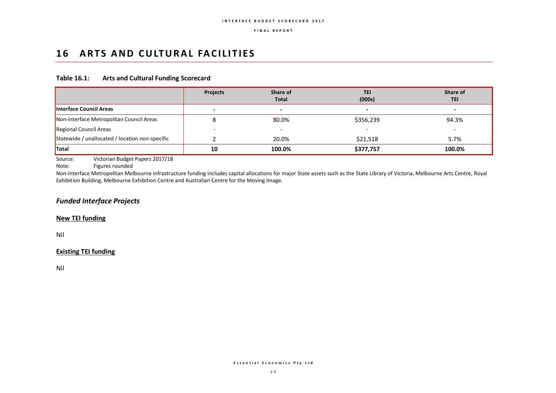# 16 ARTS AND CULTURAL FACILITIES

### **Table 16.1: Arts and Cultural Funding Scorecard**

|                                                 | <b>Projects</b> | Share of<br><b>Total</b> | <b>TEI</b><br>(000s) | Share of<br><b>TEI</b> |
|-------------------------------------------------|-----------------|--------------------------|----------------------|------------------------|
| <b>Interface Council Areas</b>                  |                 | $\,$                     | -                    |                        |
| Non-Interface Metropolitan Council Areas        |                 | 80.0%                    | \$356,239            | 94.3%                  |
| Regional Council Areas                          |                 | -                        |                      |                        |
| Statewide / unallocated / location non-specific |                 | 20.0%                    | \$21,518             | 5.7%                   |
| <b>Total</b>                                    | 10              | 100.0%                   | \$377,757            | 100.0%                 |

Source: Victorian Budget Papers 2017/18

Note: Figures rounded

Non-Interface Metropolitan Melbourne infrastructure funding includes capital allocations for major State assets such as the State Library of Victoria, Melbourne Arts Centre, Royal Exhibition Building, Melbourne Exhibition Centre and Australian Centre for the Moving Image.

## *Funded Interface Projects*

### **New TEI funding**

Nil

## **Existing TEI funding**

Nil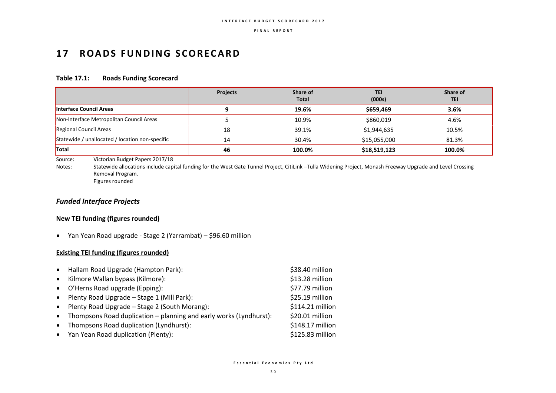# 17 **ROADS FUNDING SCORECARD**

### **Table 17.1: Roads Funding Scorecard**

|                                                 | <b>Projects</b> | Share of<br>Total | <b>TEI</b><br>(000s) | Share of<br><b>TEI</b> |
|-------------------------------------------------|-----------------|-------------------|----------------------|------------------------|
| <b>Interface Council Areas</b>                  |                 | 19.6%             | \$659,469            | 3.6%                   |
| Non-Interface Metropolitan Council Areas        |                 | 10.9%             | \$860,019            | 4.6%                   |
| Regional Council Areas                          | 18              | 39.1%             | \$1,944,635          | 10.5%                  |
| Statewide / unallocated / location non-specific | 14              | 30.4%             | \$15,055,000         | 81.3%                  |
| <b>Total</b>                                    | 46              | 100.0%            | \$18,519,123         | 100.0%                 |

Source: Victorian Budget Papers 2017/18

Notes: Statewide allocations include capital funding for the West Gate Tunnel Project, CitiLink –Tulla Widening Project, Monash Freeway Upgrade and Level Crossing Removal Program.

Figures rounded

## *Funded Interface Projects*

## **New TEI funding (figures rounded)**

Yan Yean Road upgrade - Stage 2 (Yarrambat) – \$96.60 million

## **Existing TEI funding (figures rounded)**

| $\bullet$ | Hallam Road Upgrade (Hampton Park):                                | \$38.40 million  |
|-----------|--------------------------------------------------------------------|------------------|
| $\bullet$ | Kilmore Wallan bypass (Kilmore):                                   | \$13.28 million  |
| $\bullet$ | O'Herns Road upgrade (Epping):                                     | \$77.79 million  |
| $\bullet$ | Plenty Road Upgrade - Stage 1 (Mill Park):                         | \$25.19 million  |
| $\bullet$ | Plenty Road Upgrade - Stage 2 (South Morang):                      | \$114.21 million |
| $\bullet$ | Thompsons Road duplication – planning and early works (Lyndhurst): | \$20.01 million  |
| $\bullet$ | Thompsons Road duplication (Lyndhurst):                            | \$148.17 million |
|           | • Yan Yean Road duplication (Plenty):                              | \$125.83 million |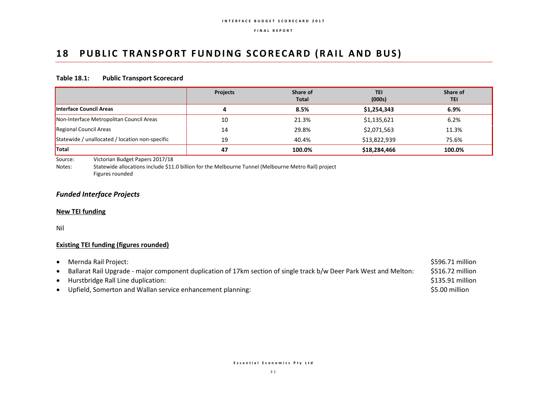# 18 PUBLIC TRANSPORT FUNDING SCORECARD (RAIL AND BUS)

### **Table 18.1: Public Transport Scorecard**

|                                                 | <b>Projects</b> | Share of<br><b>Total</b> | TEI<br>(000s) | Share of<br>TEI |
|-------------------------------------------------|-----------------|--------------------------|---------------|-----------------|
| Interface Council Areas                         | 4               | 8.5%                     | \$1,254,343   | 6.9%            |
| Non-Interface Metropolitan Council Areas        | 10              | 21.3%                    | \$1,135,621   | 6.2%            |
| Regional Council Areas                          | 14              | 29.8%                    | \$2,071,563   | 11.3%           |
| Statewide / unallocated / location non-specific | 19              | 40.4%                    | \$13,822,939  | 75.6%           |
| <b>Total</b>                                    | 47              | 100.0%                   | \$18,284,466  | 100.0%          |

Source: Victorian Budget Papers 2017/18

Notes: Statewide allocations include \$11.0 billion for the Melbourne Tunnel (Melbourne Metro Rail) project Figures rounded

## *Funded Interface Projects*

### **New TEI funding**

Nil

# **Existing TEI funding (figures rounded)**

| \$596.71 million |
|------------------|
| \$516.72 million |
| \$135.91 million |
| \$5.00 million   |
|                  |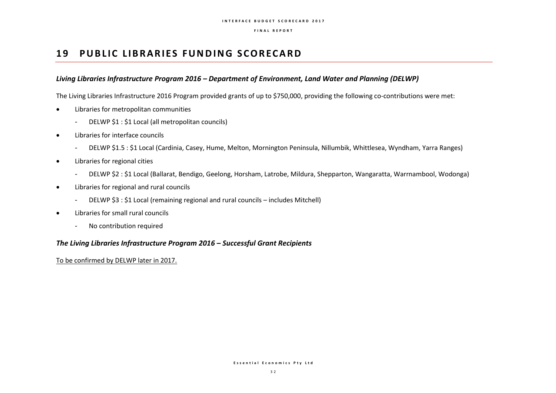# **19 PUBLIC LIBRARIES FUNDING SCORECARD**

## *Living Libraries Infrastructure Program 2016 – Department of Environment, Land Water and Planning (DELWP)*

The Living Libraries Infrastructure 2016 Program provided grants of up to \$750,000, providing the following co-contributions were met:

- Libraries for metropolitan communities
	- DELWP \$1 : \$1 Local (all metropolitan councils)
- Libraries for interface councils
	- DELWP \$1.5 : \$1 Local (Cardinia, Casey, Hume, Melton, Mornington Peninsula, Nillumbik, Whittlesea, Wyndham, Yarra Ranges)
- Libraries for regional cities
	- DELWP \$2 : \$1 Local (Ballarat, Bendigo, Geelong, Horsham, Latrobe, Mildura, Shepparton, Wangaratta, Warrnambool, Wodonga)
- Libraries for regional and rural councils
	- DELWP \$3 : \$1 Local (remaining regional and rural councils includes Mitchell)
- Libraries for small rural councils
	- No contribution required

## *The Living Libraries Infrastructure Program 2016 – Successful Grant Recipients*

To be confirmed by DELWP later in 2017.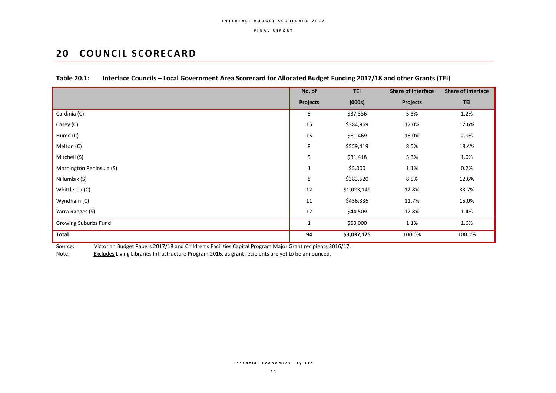# **20 COUNCIL SCORECARD**

|                          | No. of          | <b>TEI</b>  | <b>Share of Interface</b> | <b>Share of Interface</b> |
|--------------------------|-----------------|-------------|---------------------------|---------------------------|
|                          | <b>Projects</b> | (000s)      | <b>Projects</b>           | <b>TEI</b>                |
| Cardinia (C)             | 5               | \$37,336    | 5.3%                      | 1.2%                      |
| Casey (C)                | 16              | \$384,969   | 17.0%                     | 12.6%                     |
| Hume (C)                 | 15              | \$61,469    | 16.0%                     | 2.0%                      |
| Melton (C)               | 8               | \$559,419   | 8.5%                      | 18.4%                     |
| Mitchell (S)             | 5               | \$31,418    | 5.3%                      | 1.0%                      |
| Mornington Peninsula (S) | $\mathbf{1}$    | \$5,000     | 1.1%                      | 0.2%                      |
| Nillumbik (S)            | 8               | \$383,520   | 8.5%                      | 12.6%                     |
| Whittlesea (C)           | 12              | \$1,023,149 | 12.8%                     | 33.7%                     |
| Wyndham (C)              | 11              | \$456,336   | 11.7%                     | 15.0%                     |
| Yarra Ranges (S)         | 12              | \$44,509    | 12.8%                     | 1.4%                      |
| Growing Suburbs Fund     | 1               | \$50,000    | 1.1%                      | 1.6%                      |
| <b>Total</b>             | 94              | \$3,037,125 | 100.0%                    | 100.0%                    |

## **Table 20.1: Interface Councils – Local Government Area Scorecard for Allocated Budget Funding 2017/18 and other Grants (TEI)**

Source: Victorian Budget Papers 2017/18 and Children's Facilities Capital Program Major Grant recipients 2016/17.

Note: Excludes Living Libraries Infrastructure Program 2016, as grant recipients are yet to be announced.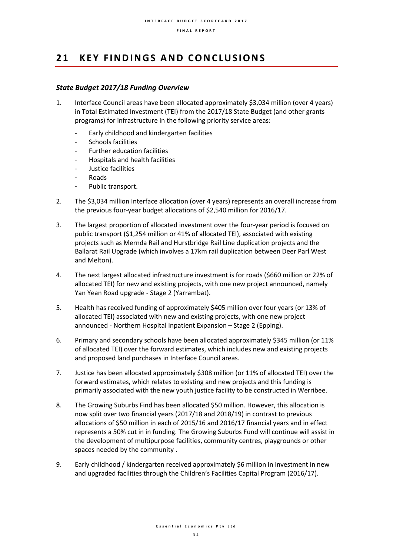# **2 1 K E Y F I N D I N G S A N D C O NC LU S I O N S**

### *State Budget 2017/18 Funding Overview*

- 1. Interface Council areas have been allocated approximately \$3,034 million (over 4 years) in Total Estimated Investment (TEI) from the 2017/18 State Budget (and other grants programs) for infrastructure in the following priority service areas:
	- Early childhood and kindergarten facilities
	- Schools facilities
	- Further education facilities
	- Hospitals and health facilities
	- Justice facilities
	- **Roads**
	- Public transport.
- 2. The \$3,034 million Interface allocation (over 4 years) represents an overall increase from the previous four-year budget allocations of \$2,540 million for 2016/17.
- 3. The largest proportion of allocated investment over the four-year period is focused on public transport (\$1,254 million or 41% of allocated TEI), associated with existing projects such as Mernda Rail and Hurstbridge Rail Line duplication projects and the Ballarat Rail Upgrade (which involves a 17km rail duplication between Deer Parl West and Melton).
- 4. The next largest allocated infrastructure investment is for roads (\$660 million or 22% of allocated TEI) for new and existing projects, with one new project announced, namely Yan Yean Road upgrade - Stage 2 (Yarrambat).
- 5. Health has received funding of approximately \$405 million over four years (or 13% of allocated TEI) associated with new and existing projects, with one new project announced - Northern Hospital Inpatient Expansion – Stage 2 (Epping).
- 6. Primary and secondary schools have been allocated approximately \$345 million (or 11% of allocated TEI) over the forward estimates, which includes new and existing projects and proposed land purchases in Interface Council areas.
- 7. Justice has been allocated approximately \$308 million (or 11% of allocated TEI) over the forward estimates, which relates to existing and new projects and this funding is primarily associated with the new youth justice facility to be constructed in Werribee.
- 8. The Growing Suburbs Find has been allocated \$50 million. However, this allocation is now split over two financial years (2017/18 and 2018/19) in contrast to previous allocations of \$50 million in each of 2015/16 and 2016/17 financial years and in effect represents a 50% cut in in funding. The Growing Suburbs Fund will continue will assist in the development of multipurpose facilities, community centres, playgrounds or other spaces needed by the community .
- 9. Early childhood / kindergarten received approximately \$6 million in investment in new and upgraded facilities through the Children's Facilities Capital Program (2016/17).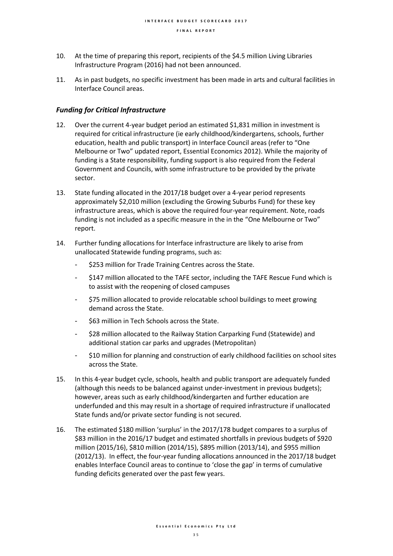- 10. At the time of preparing this report, recipients of the \$4.5 million Living Libraries Infrastructure Program (2016) had not been announced.
- 11. As in past budgets, no specific investment has been made in arts and cultural facilities in Interface Council areas.

### *Funding for Critical Infrastructure*

- 12. Over the current 4-year budget period an estimated \$1,831 million in investment is required for critical infrastructure (ie early childhood/kindergartens, schools, further education, health and public transport) in Interface Council areas (refer to "One Melbourne or Two" updated report, Essential Economics 2012). While the majority of funding is a State responsibility, funding support is also required from the Federal Government and Councils, with some infrastructure to be provided by the private sector.
- 13. State funding allocated in the 2017/18 budget over a 4-year period represents approximately \$2,010 million (excluding the Growing Suburbs Fund) for these key infrastructure areas, which is above the required four-year requirement. Note, roads funding is not included as a specific measure in the in the "One Melbourne or Two" report.
- 14. Further funding allocations for Interface infrastructure are likely to arise from unallocated Statewide funding programs, such as:
	- \$253 million for Trade Training Centres across the State.
	- \$147 million allocated to the TAFE sector, including the TAFE Rescue Fund which is to assist with the reopening of closed campuses
	- \$75 million allocated to provide relocatable school buildings to meet growing demand across the State.
	- \$63 million in Tech Schools across the State.
	- \$28 million allocated to the Railway Station Carparking Fund (Statewide) and additional station car parks and upgrades (Metropolitan)
	- \$10 million for planning and construction of early childhood facilities on school sites across the State.
- 15. In this 4-year budget cycle, schools, health and public transport are adequately funded (although this needs to be balanced against under-investment in previous budgets); however, areas such as early childhood/kindergarten and further education are underfunded and this may result in a shortage of required infrastructure if unallocated State funds and/or private sector funding is not secured.
- 16. The estimated \$180 million 'surplus' in the 2017/178 budget compares to a surplus of \$83 million in the 2016/17 budget and estimated shortfalls in previous budgets of \$920 million (2015/16), \$810 million (2014/15), \$895 million (2013/14), and \$955 million (2012/13). In effect, the four-year funding allocations announced in the 2017/18 budget enables Interface Council areas to continue to 'close the gap' in terms of cumulative funding deficits generated over the past few years.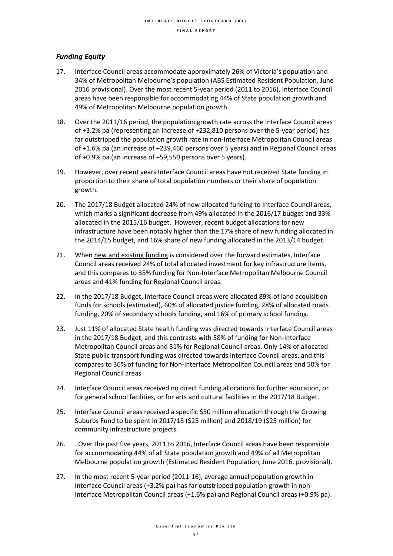### *Funding Equity*

- 17. Interface Council areas accommodate approximately 26% of Victoria's population and 34% of Metropolitan Melbourne's population (ABS Estimated Resident Population, June 2016 provisional). Over the most recent 5-year period (2011 to 2016), Interface Council areas have been responsible for accommodating 44% of State population growth and 49% of Metropolitan Melbourne population growth.
- 18. Over the 2011/16 period, the population growth rate across the Interface Council areas of +3.2% pa (representing an increase of +232,810 persons over the 5-year period) has far outstripped the population growth rate in non-Interface Metropolitan Council areas of +1.6% pa (an increase of +239,460 persons over 5 years) and in Regional Council areas of +0.9% pa (an increase of +59,550 persons over 5 years).
- 19. However, over recent years Interface Council areas have not received State funding in proportion to their share of total population numbers or their share of population growth.
- 20. The 2017/18 Budget allocated 24% of new allocated funding to Interface Council areas, which marks a significant decrease from 49% allocated in the 2016/17 budget and 33% allocated in the 2015/16 budget. However, recent budget allocations for new infrastructure have been notably higher than the 17% share of new funding allocated in the 2014/15 budget, and 16% share of new funding allocated in the 2013/14 budget.
- 21. When new and existing funding is considered over the forward estimates, Interface Council areas received 24% of total allocated investment for key infrastructure items, and this compares to 35% funding for Non-Interface Metropolitan Melbourne Council areas and 41% funding for Regional Council areas.
- 22. In the 2017/18 Budget, Interface Council areas were allocated 89% of land acquisition funds for schools (estimated), 60% of allocated justice funding, 28% of allocated roads funding, 20% of secondary schools funding, and 16% of primary school funding.
- 23. Just 11% of allocated State health funding was directed towards Interface Council areas in the 2017/18 Budget, and this contrasts with 58% of funding for Non-Interface Metropolitan Council areas and 31% for Regional Council areas. Only 14% of allocated State public transport funding was directed towards Interface Council areas, and this compares to 36% of funding for Non-Interface Metropolitan Council areas and 50% for Regional Council areas
- 24. Interface Council areas received no direct funding allocations for further education, or for general school facilities, or for arts and cultural facilities in the 2017/18 Budget.
- 25. Interface Council areas received a specific \$50 million allocation through the Growing Suburbs Fund to be spent in 2017/18 (\$25 million) and 2018/19 (\$25 million) for community infrastructure projects.
- 26. . Over the past five years, 2011 to 2016, Interface Council areas have been responsible for accommodating 44% of all State population growth and 49% of all Metropolitan Melbourne population growth (Estimated Resident Population, June 2016, provisional).
- 27. In the most recent 5-year period (2011-16), average annual population growth in Interface Council areas (+3.2% pa) has far outstripped population growth in non-Interface Metropolitan Council areas (+1.6% pa) and Regional Council areas (+0.9% pa).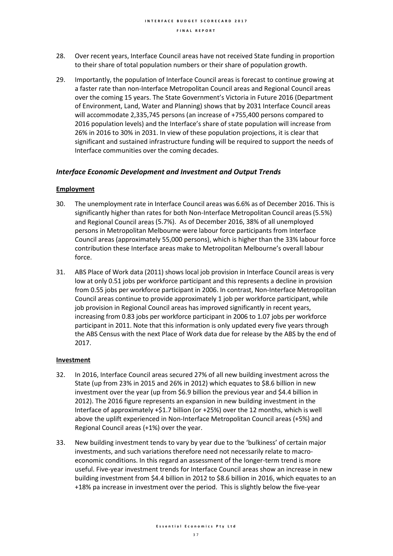- 28. Over recent years, Interface Council areas have not received State funding in proportion to their share of total population numbers or their share of population growth.
- 29. Importantly, the population of Interface Council areas is forecast to continue growing at a faster rate than non-Interface Metropolitan Council areas and Regional Council areas over the coming 15 years. The State Government's Victoria in Future 2016 (Department of Environment, Land, Water and Planning) shows that by 2031 Interface Council areas will accommodate 2,335,745 persons (an increase of +755,400 persons compared to 2016 population levels) and the Interface's share of state population will increase from 26% in 2016 to 30% in 2031. In view of these population projections, it is clear that significant and sustained infrastructure funding will be required to support the needs of Interface communities over the coming decades.

### *Interface Economic Development and Investment and Output Trends*

### **Employment**

- 30. The unemployment rate in Interface Council areas was 6.6% as of December 2016. This is significantly higher than rates for both Non-Interface Metropolitan Council areas(5.5%) and Regional Council areas (5.7%). As of December 2016, 38% of all unemployed persons in Metropolitan Melbourne were labour force participants from Interface Council areas (approximately 55,000 persons), which is higher than the 33% labour force contribution these Interface areas make to Metropolitan Melbourne's overall labour force.
- 31. ABS Place of Work data (2011) shows local job provision in Interface Council areas is very low at only 0.51 jobs per workforce participant and this represents a decline in provision from 0.55 jobs per workforce participant in 2006. In contrast, Non-Interface Metropolitan Council areas continue to provide approximately 1 job per workforce participant, while job provision in Regional Council areas has improved significantly in recent years, increasing from 0.83 jobs per workforce participant in 2006 to 1.07 jobs per workforce participant in 2011. Note that this information is only updated every five years through the ABS Census with the next Place of Work data due for release by the ABS by the end of 2017.

### **Investment**

- 32. In 2016, Interface Council areas secured 27% of all new building investment across the State (up from 23% in 2015 and 26% in 2012) which equates to \$8.6 billion in new investment over the year (up from \$6.9 billion the previous year and \$4.4 billion in 2012). The 2016 figure represents an expansion in new building investment in the Interface of approximately +\$1.7 billion (or +25%) over the 12 months, which is well above the uplift experienced in Non-Interface Metropolitan Council areas (+5%) and Regional Council areas (+1%) over the year.
- 33. New building investment tends to vary by year due to the 'bulkiness' of certain major investments, and such variations therefore need not necessarily relate to macroeconomic conditions. In this regard an assessment of the longer-term trend is more useful. Five-year investment trends for Interface Council areas show an increase in new building investment from \$4.4 billion in 2012 to \$8.6 billion in 2016, which equates to an +18% pa increase in investment over the period. This is slightly below the five-year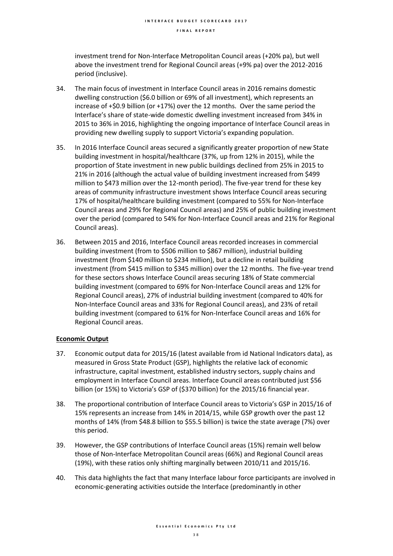investment trend for Non-Interface Metropolitan Council areas (+20% pa), but well above the investment trend for Regional Council areas (+9% pa) over the 2012-2016 period (inclusive).

- 34. The main focus of investment in Interface Council areas in 2016 remains domestic dwelling construction (\$6.0 billion or 69% of all investment), which represents an increase of +\$0.9 billion (or +17%) over the 12 months. Over the same period the Interface's share of state-wide domestic dwelling investment increased from 34% in 2015 to 36% in 2016, highlighting the ongoing importance of Interface Council areas in providing new dwelling supply to support Victoria's expanding population.
- 35. In 2016 Interface Council areas secured a significantly greater proportion of new State building investment in hospital/healthcare (37%, up from 12% in 2015), while the proportion of State investment in new public buildings declined from 25% in 2015 to 21% in 2016 (although the actual value of building investment increased from \$499 million to \$473 million over the 12-month period). The five-year trend for these key areas of community infrastructure investment shows Interface Council areas securing 17% of hospital/healthcare building investment (compared to 55% for Non-Interface Council areas and 29% for Regional Council areas) and 25% of public building investment over the period (compared to 54% for Non-Interface Council areas and 21% for Regional Council areas).
- 36. Between 2015 and 2016, Interface Council areas recorded increases in commercial building investment (from to \$506 million to \$867 million), industrial building investment (from \$140 million to \$234 million), but a decline in retail building investment (from \$415 million to \$345 million) over the 12 months. The five-year trend for these sectors shows Interface Council areas securing 18% of State commercial building investment (compared to 69% for Non-Interface Council areas and 12% for Regional Council areas), 27% of industrial building investment (compared to 40% for Non-Interface Council areas and 33% for Regional Council areas), and 23% of retail building investment (compared to 61% for Non-Interface Council areas and 16% for Regional Council areas.

### **Economic Output**

- 37. Economic output data for 2015/16 (latest available from id National Indicators data), as measured in Gross State Product (GSP), highlights the relative lack of economic infrastructure, capital investment, established industry sectors, supply chains and employment in Interface Council areas. Interface Council areas contributed just \$56 billion (or 15%) to Victoria's GSP of (\$370 billion) for the 2015/16 financial year.
- 38. The proportional contribution of Interface Council areas to Victoria's GSP in 2015/16 of 15% represents an increase from 14% in 2014/15, while GSP growth over the past 12 months of 14% (from \$48.8 billion to \$55.5 billion) is twice the state average (7%) over this period.
- 39. However, the GSP contributions of Interface Council areas (15%) remain well below those of Non-Interface Metropolitan Council areas (66%) and Regional Council areas (19%), with these ratios only shifting marginally between 2010/11 and 2015/16.
- 40. This data highlights the fact that many Interface labour force participants are involved in economic-generating activities outside the Interface (predominantly in other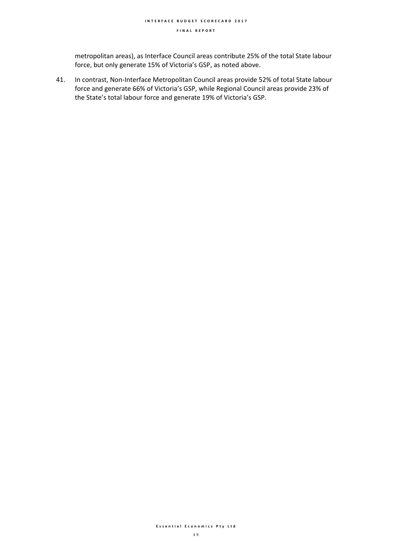metropolitan areas), as Interface Council areas contribute 25% of the total State labour force, but only generate 15% of Victoria's GSP, as noted above.

41. In contrast, Non-Interface Metropolitan Council areas provide 52% of total State labour force and generate 66% of Victoria's GSP, while Regional Council areas provide 23% of the State's total labour force and generate 19% of Victoria's GSP.

### **E s s e n t i a l E c o n o m i c s P t y L t d**